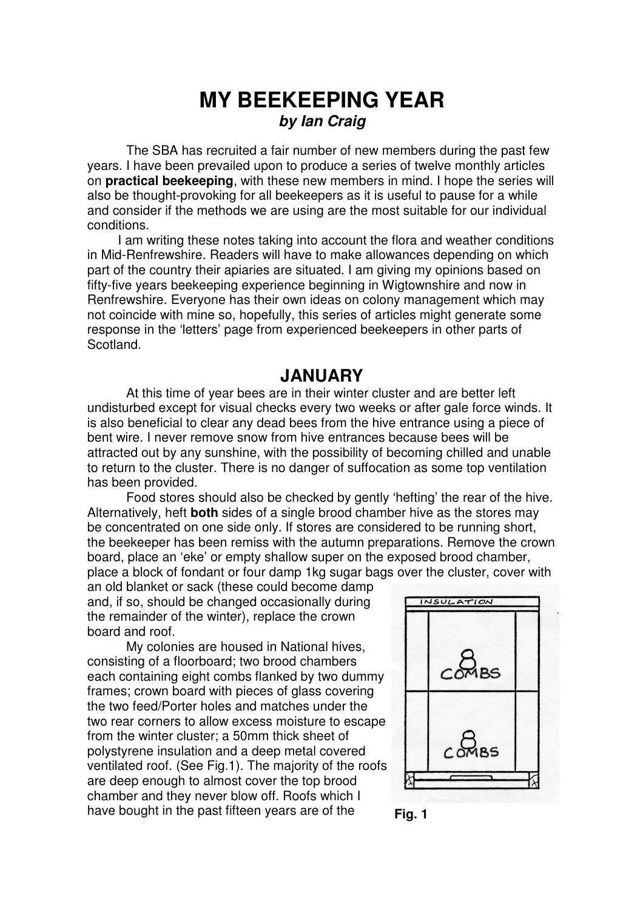# **MY BEEKEEPING YEAR** *by Ian Craig*

The SBA has recruited a fair number of new members during the past few years. I have been prevailed upon to produce a series of twelve monthly articles on **practical beekeeping**, with these new members in mind. I hope the series will also be thought-provoking for all beekeepers as it is useful to pause for a while and consider if the methods we are using are the most suitable for our individual conditions.

I am writing these notes taking into account the flora and weather conditions in Mid-Renfrewshire. Readers will have to make allowances depending on which part of the country their apiaries are situated. I am giving my opinions based on fifty-five years beekeeping experience beginning in Wigtownshire and now in Renfrewshire. Everyone has their own ideas on colony management which may not coincide with mine so, hopefully, this series of articles might generate some response in the 'letters' page from experienced beekeepers in other parts of Scotland.

## **JANUARY**

At this time of year bees are in their winter cluster and are better left undisturbed except for visual checks every two weeks or after gale force winds. It is also beneficial to clear any dead bees from the hive entrance using a piece of bent wire. I never remove snow from hive entrances because bees will be attracted out by any sunshine, with the possibility of becoming chilled and unable to return to the cluster. There is no danger of suffocation as some top ventilation has been provided.

Food stores should also be checked by gently 'hefting' the rear of the hive. Alternatively, heft **both** sides of a single brood chamber hive as the stores may be concentrated on one side only. If stores are considered to be running short, the beekeeper has been remiss with the autumn preparations. Remove the crown board, place an 'eke' or empty shallow super on the exposed brood chamber, place a block of fondant or four damp 1kg sugar bags over the cluster, cover with

an old blanket or sack (these could become damp and, if so, should be changed occasionally during the remainder of the winter), replace the crown board and roof.

My colonies are housed in National hives, consisting of a floorboard; two brood chambers each containing eight combs flanked by two dummy frames; crown board with pieces of glass covering the two feed/Porter holes and matches under the two rear corners to allow excess moisture to escape from the winter cluster; a 50mm thick sheet of polystyrene insulation and a deep metal covered ventilated roof. (See Fig.1). The majority of the roofs are deep enough to almost cover the top brood chamber and they never blow off. Roofs which I have bought in the past fifteen years are of the **Fig. 1** 



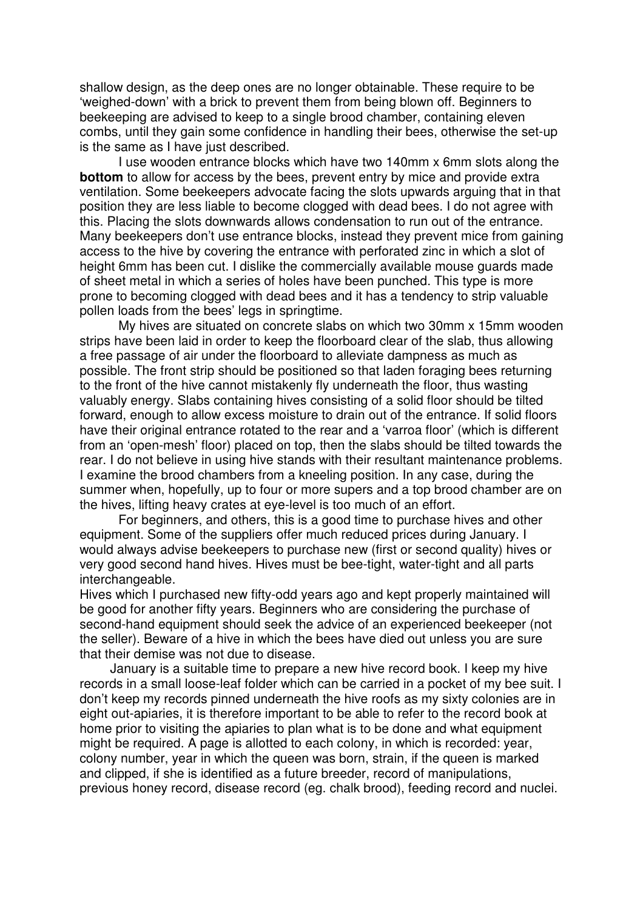shallow design, as the deep ones are no longer obtainable. These require to be 'weighed-down' with a brick to prevent them from being blown off. Beginners to beekeeping are advised to keep to a single brood chamber, containing eleven combs, until they gain some confidence in handling their bees, otherwise the set-up is the same as I have just described.

I use wooden entrance blocks which have two 140mm x 6mm slots along the **bottom** to allow for access by the bees, prevent entry by mice and provide extra ventilation. Some beekeepers advocate facing the slots upwards arguing that in that position they are less liable to become clogged with dead bees. I do not agree with this. Placing the slots downwards allows condensation to run out of the entrance. Many beekeepers don't use entrance blocks, instead they prevent mice from gaining access to the hive by covering the entrance with perforated zinc in which a slot of height 6mm has been cut. I dislike the commercially available mouse guards made of sheet metal in which a series of holes have been punched. This type is more prone to becoming clogged with dead bees and it has a tendency to strip valuable pollen loads from the bees' legs in springtime.

My hives are situated on concrete slabs on which two 30mm x 15mm wooden strips have been laid in order to keep the floorboard clear of the slab, thus allowing a free passage of air under the floorboard to alleviate dampness as much as possible. The front strip should be positioned so that laden foraging bees returning to the front of the hive cannot mistakenly fly underneath the floor, thus wasting valuably energy. Slabs containing hives consisting of a solid floor should be tilted forward, enough to allow excess moisture to drain out of the entrance. If solid floors have their original entrance rotated to the rear and a 'varroa floor' (which is different from an 'open-mesh' floor) placed on top, then the slabs should be tilted towards the rear. I do not believe in using hive stands with their resultant maintenance problems. I examine the brood chambers from a kneeling position. In any case, during the summer when, hopefully, up to four or more supers and a top brood chamber are on the hives, lifting heavy crates at eye-level is too much of an effort.

For beginners, and others, this is a good time to purchase hives and other equipment. Some of the suppliers offer much reduced prices during January. I would always advise beekeepers to purchase new (first or second quality) hives or very good second hand hives. Hives must be bee-tight, water-tight and all parts interchangeable.

Hives which I purchased new fifty-odd years ago and kept properly maintained will be good for another fifty years. Beginners who are considering the purchase of second-hand equipment should seek the advice of an experienced beekeeper (not the seller). Beware of a hive in which the bees have died out unless you are sure that their demise was not due to disease.

January is a suitable time to prepare a new hive record book. I keep my hive records in a small loose-leaf folder which can be carried in a pocket of my bee suit. I don't keep my records pinned underneath the hive roofs as my sixty colonies are in eight out-apiaries, it is therefore important to be able to refer to the record book at home prior to visiting the apiaries to plan what is to be done and what equipment might be required. A page is allotted to each colony, in which is recorded: year, colony number, year in which the queen was born, strain, if the queen is marked and clipped, if she is identified as a future breeder, record of manipulations, previous honey record, disease record (eg. chalk brood), feeding record and nuclei.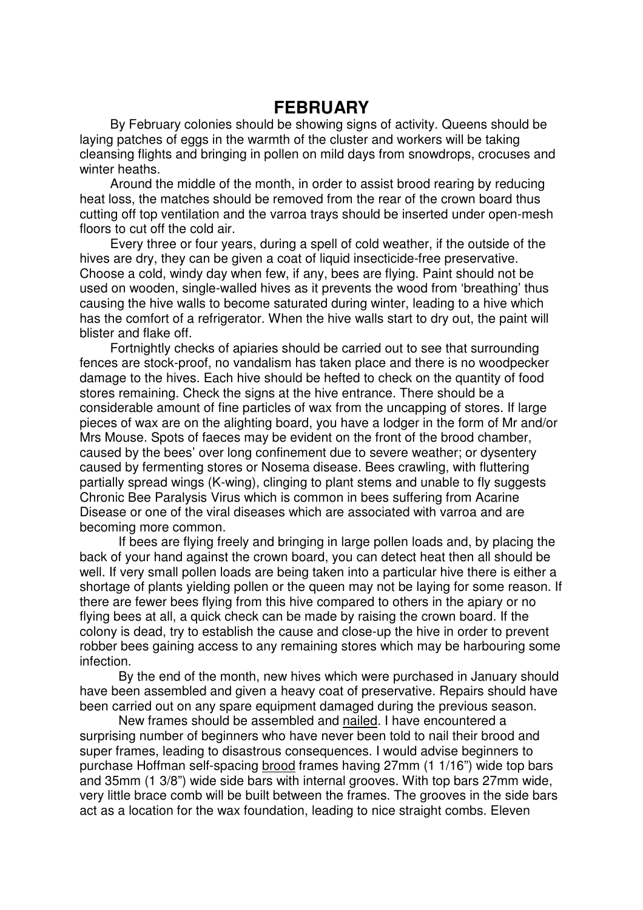## **FEBRUARY**

By February colonies should be showing signs of activity. Queens should be laying patches of eggs in the warmth of the cluster and workers will be taking cleansing flights and bringing in pollen on mild days from snowdrops, crocuses and winter heaths.

Around the middle of the month, in order to assist brood rearing by reducing heat loss, the matches should be removed from the rear of the crown board thus cutting off top ventilation and the varroa trays should be inserted under open-mesh floors to cut off the cold air.

Every three or four years, during a spell of cold weather, if the outside of the hives are dry, they can be given a coat of liquid insecticide-free preservative. Choose a cold, windy day when few, if any, bees are flying. Paint should not be used on wooden, single-walled hives as it prevents the wood from 'breathing' thus causing the hive walls to become saturated during winter, leading to a hive which has the comfort of a refrigerator. When the hive walls start to dry out, the paint will blister and flake off.

Fortnightly checks of apiaries should be carried out to see that surrounding fences are stock-proof, no vandalism has taken place and there is no woodpecker damage to the hives. Each hive should be hefted to check on the quantity of food stores remaining. Check the signs at the hive entrance. There should be a considerable amount of fine particles of wax from the uncapping of stores. If large pieces of wax are on the alighting board, you have a lodger in the form of Mr and/or Mrs Mouse. Spots of faeces may be evident on the front of the brood chamber, caused by the bees' over long confinement due to severe weather; or dysentery caused by fermenting stores or Nosema disease. Bees crawling, with fluttering partially spread wings (K-wing), clinging to plant stems and unable to fly suggests Chronic Bee Paralysis Virus which is common in bees suffering from Acarine Disease or one of the viral diseases which are associated with varroa and are becoming more common.

If bees are flying freely and bringing in large pollen loads and, by placing the back of your hand against the crown board, you can detect heat then all should be well. If very small pollen loads are being taken into a particular hive there is either a shortage of plants yielding pollen or the queen may not be laying for some reason. If there are fewer bees flying from this hive compared to others in the apiary or no flying bees at all, a quick check can be made by raising the crown board. If the colony is dead, try to establish the cause and close-up the hive in order to prevent robber bees gaining access to any remaining stores which may be harbouring some infection.

By the end of the month, new hives which were purchased in January should have been assembled and given a heavy coat of preservative. Repairs should have been carried out on any spare equipment damaged during the previous season.

New frames should be assembled and nailed. I have encountered a surprising number of beginners who have never been told to nail their brood and super frames, leading to disastrous consequences. I would advise beginners to purchase Hoffman self-spacing brood frames having 27mm (1 1/16") wide top bars and 35mm (1 3/8") wide side bars with internal grooves. With top bars 27mm wide, very little brace comb will be built between the frames. The grooves in the side bars act as a location for the wax foundation, leading to nice straight combs. Eleven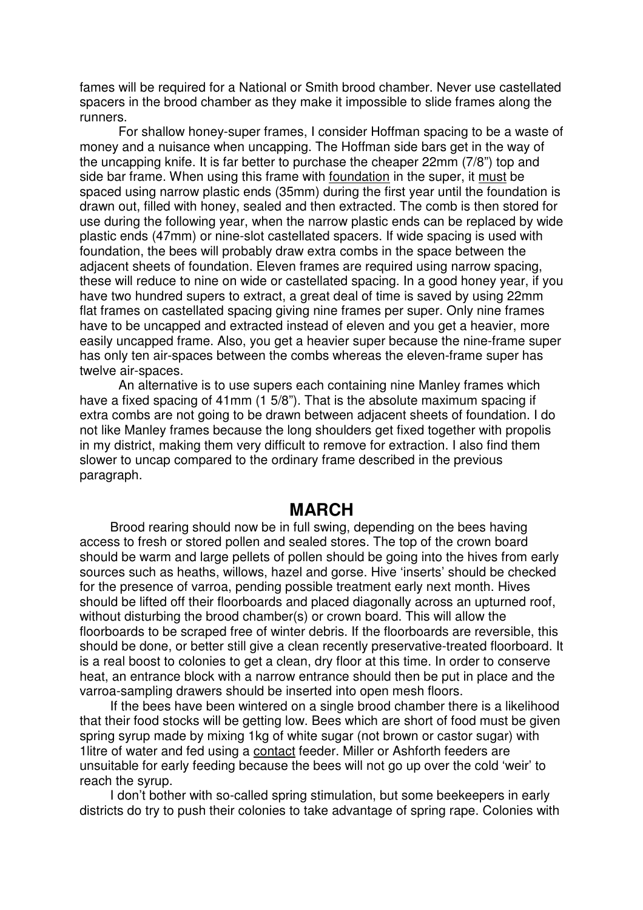fames will be required for a National or Smith brood chamber. Never use castellated spacers in the brood chamber as they make it impossible to slide frames along the runners.

For shallow honey-super frames, I consider Hoffman spacing to be a waste of money and a nuisance when uncapping. The Hoffman side bars get in the way of the uncapping knife. It is far better to purchase the cheaper 22mm (7/8") top and side bar frame. When using this frame with foundation in the super, it must be spaced using narrow plastic ends (35mm) during the first year until the foundation is drawn out, filled with honey, sealed and then extracted. The comb is then stored for use during the following year, when the narrow plastic ends can be replaced by wide plastic ends (47mm) or nine-slot castellated spacers. If wide spacing is used with foundation, the bees will probably draw extra combs in the space between the adjacent sheets of foundation. Eleven frames are required using narrow spacing, these will reduce to nine on wide or castellated spacing. In a good honey year, if you have two hundred supers to extract, a great deal of time is saved by using 22mm flat frames on castellated spacing giving nine frames per super. Only nine frames have to be uncapped and extracted instead of eleven and you get a heavier, more easily uncapped frame. Also, you get a heavier super because the nine-frame super has only ten air-spaces between the combs whereas the eleven-frame super has twelve air-spaces.

An alternative is to use supers each containing nine Manley frames which have a fixed spacing of 41mm (1 5/8"). That is the absolute maximum spacing if extra combs are not going to be drawn between adjacent sheets of foundation. I do not like Manley frames because the long shoulders get fixed together with propolis in my district, making them very difficult to remove for extraction. I also find them slower to uncap compared to the ordinary frame described in the previous paragraph.

#### **MARCH**

Brood rearing should now be in full swing, depending on the bees having access to fresh or stored pollen and sealed stores. The top of the crown board should be warm and large pellets of pollen should be going into the hives from early sources such as heaths, willows, hazel and gorse. Hive 'inserts' should be checked for the presence of varroa, pending possible treatment early next month. Hives should be lifted off their floorboards and placed diagonally across an upturned roof, without disturbing the brood chamber(s) or crown board. This will allow the floorboards to be scraped free of winter debris. If the floorboards are reversible, this should be done, or better still give a clean recently preservative-treated floorboard. It is a real boost to colonies to get a clean, dry floor at this time. In order to conserve heat, an entrance block with a narrow entrance should then be put in place and the varroa-sampling drawers should be inserted into open mesh floors.

If the bees have been wintered on a single brood chamber there is a likelihood that their food stocks will be getting low. Bees which are short of food must be given spring syrup made by mixing 1kg of white sugar (not brown or castor sugar) with 1litre of water and fed using a contact feeder. Miller or Ashforth feeders are unsuitable for early feeding because the bees will not go up over the cold 'weir' to reach the syrup.

I don't bother with so-called spring stimulation, but some beekeepers in early districts do try to push their colonies to take advantage of spring rape. Colonies with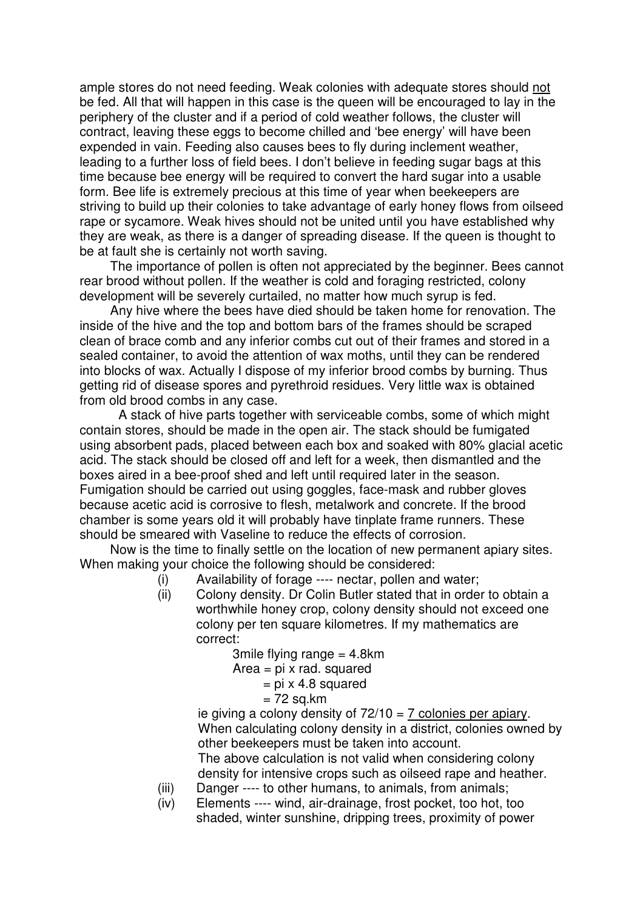ample stores do not need feeding. Weak colonies with adequate stores should not be fed. All that will happen in this case is the queen will be encouraged to lay in the periphery of the cluster and if a period of cold weather follows, the cluster will contract, leaving these eggs to become chilled and 'bee energy' will have been expended in vain. Feeding also causes bees to fly during inclement weather, leading to a further loss of field bees. I don't believe in feeding sugar bags at this time because bee energy will be required to convert the hard sugar into a usable form. Bee life is extremely precious at this time of year when beekeepers are striving to build up their colonies to take advantage of early honey flows from oilseed rape or sycamore. Weak hives should not be united until you have established why they are weak, as there is a danger of spreading disease. If the queen is thought to be at fault she is certainly not worth saving.

The importance of pollen is often not appreciated by the beginner. Bees cannot rear brood without pollen. If the weather is cold and foraging restricted, colony development will be severely curtailed, no matter how much syrup is fed.

Any hive where the bees have died should be taken home for renovation. The inside of the hive and the top and bottom bars of the frames should be scraped clean of brace comb and any inferior combs cut out of their frames and stored in a sealed container, to avoid the attention of wax moths, until they can be rendered into blocks of wax. Actually I dispose of my inferior brood combs by burning. Thus getting rid of disease spores and pyrethroid residues. Very little wax is obtained from old brood combs in any case.

A stack of hive parts together with serviceable combs, some of which might contain stores, should be made in the open air. The stack should be fumigated using absorbent pads, placed between each box and soaked with 80% glacial acetic acid. The stack should be closed off and left for a week, then dismantled and the boxes aired in a bee-proof shed and left until required later in the season. Fumigation should be carried out using goggles, face-mask and rubber gloves because acetic acid is corrosive to flesh, metalwork and concrete. If the brood chamber is some years old it will probably have tinplate frame runners. These should be smeared with Vaseline to reduce the effects of corrosion.

Now is the time to finally settle on the location of new permanent apiary sites. When making your choice the following should be considered:

- (i) Availability of forage ---- nectar, pollen and water;
- (ii) Colony density. Dr Colin Butler stated that in order to obtain a worthwhile honey crop, colony density should not exceed one colony per ten square kilometres. If my mathematics are correct:

3mile flying range = 4.8km

- Area  $=$  pi x rad. squared
	- $=$  pi x 4.8 squared
	- $= 72$  sq.km

ie giving a colony density of  $72/10 = 7$  colonies per apiary. When calculating colony density in a district, colonies owned by other beekeepers must be taken into account. The above calculation is not valid when considering colony

density for intensive crops such as oilseed rape and heather.

- (iii) Danger ---- to other humans, to animals, from animals;
- (iv) Elements ---- wind, air-drainage, frost pocket, too hot, too shaded, winter sunshine, dripping trees, proximity of power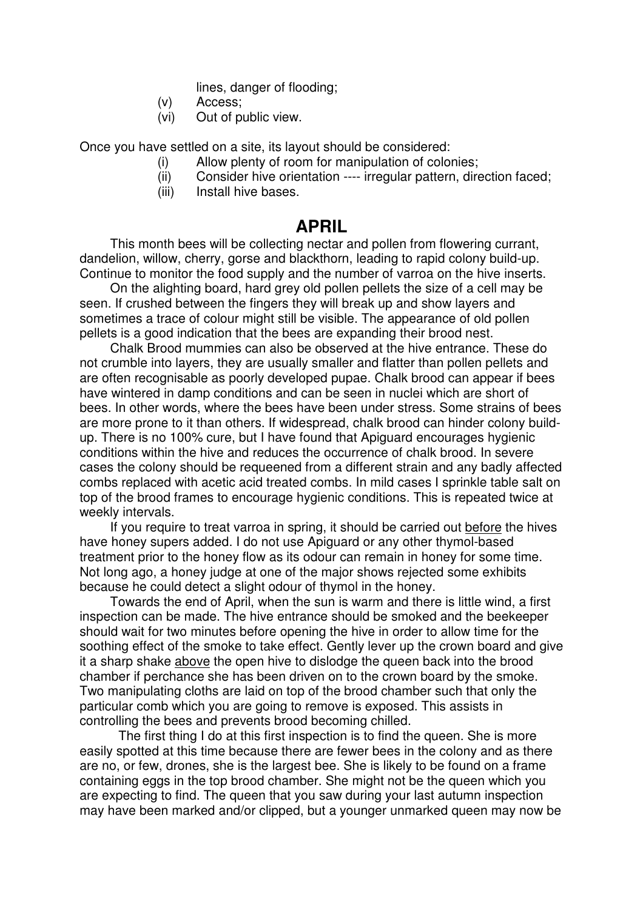lines, danger of flooding;

- (v) Access;
- (vi) Out of public view.

Once you have settled on a site, its layout should be considered:

- (i) Allow plenty of room for manipulation of colonies;
- (ii) Consider hive orientation ---- irregular pattern, direction faced;
- (iii) Install hive bases.

## **APRIL**

This month bees will be collecting nectar and pollen from flowering currant, dandelion, willow, cherry, gorse and blackthorn, leading to rapid colony build-up. Continue to monitor the food supply and the number of varroa on the hive inserts.

On the alighting board, hard grey old pollen pellets the size of a cell may be seen. If crushed between the fingers they will break up and show layers and sometimes a trace of colour might still be visible. The appearance of old pollen pellets is a good indication that the bees are expanding their brood nest.

Chalk Brood mummies can also be observed at the hive entrance. These do not crumble into layers, they are usually smaller and flatter than pollen pellets and are often recognisable as poorly developed pupae. Chalk brood can appear if bees have wintered in damp conditions and can be seen in nuclei which are short of bees. In other words, where the bees have been under stress. Some strains of bees are more prone to it than others. If widespread, chalk brood can hinder colony buildup. There is no 100% cure, but I have found that Apiguard encourages hygienic conditions within the hive and reduces the occurrence of chalk brood. In severe cases the colony should be requeened from a different strain and any badly affected combs replaced with acetic acid treated combs. In mild cases I sprinkle table salt on top of the brood frames to encourage hygienic conditions. This is repeated twice at weekly intervals.

If you require to treat varroa in spring, it should be carried out before the hives have honey supers added. I do not use Apiguard or any other thymol-based treatment prior to the honey flow as its odour can remain in honey for some time. Not long ago, a honey judge at one of the major shows rejected some exhibits because he could detect a slight odour of thymol in the honey.

Towards the end of April, when the sun is warm and there is little wind, a first inspection can be made. The hive entrance should be smoked and the beekeeper should wait for two minutes before opening the hive in order to allow time for the soothing effect of the smoke to take effect. Gently lever up the crown board and give it a sharp shake above the open hive to dislodge the queen back into the brood chamber if perchance she has been driven on to the crown board by the smoke. Two manipulating cloths are laid on top of the brood chamber such that only the particular comb which you are going to remove is exposed. This assists in controlling the bees and prevents brood becoming chilled.

The first thing I do at this first inspection is to find the queen. She is more easily spotted at this time because there are fewer bees in the colony and as there are no, or few, drones, she is the largest bee. She is likely to be found on a frame containing eggs in the top brood chamber. She might not be the queen which you are expecting to find. The queen that you saw during your last autumn inspection may have been marked and/or clipped, but a younger unmarked queen may now be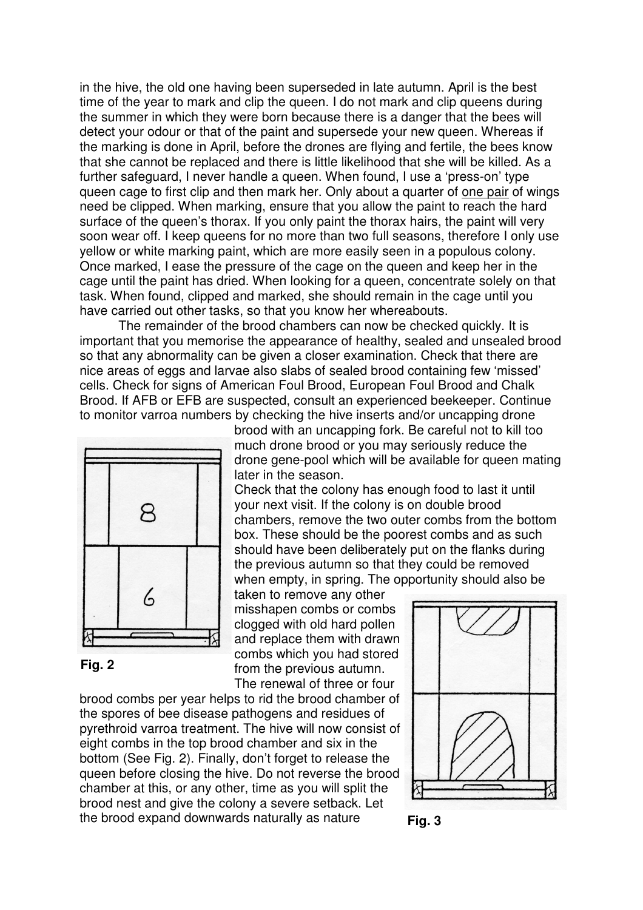in the hive, the old one having been superseded in late autumn. April is the best time of the year to mark and clip the queen. I do not mark and clip queens during the summer in which they were born because there is a danger that the bees will detect your odour or that of the paint and supersede your new queen. Whereas if the marking is done in April, before the drones are flying and fertile, the bees know that she cannot be replaced and there is little likelihood that she will be killed. As a further safeguard, I never handle a queen. When found, I use a 'press-on' type queen cage to first clip and then mark her. Only about a quarter of one pair of wings need be clipped. When marking, ensure that you allow the paint to reach the hard surface of the queen's thorax. If you only paint the thorax hairs, the paint will very soon wear off. I keep queens for no more than two full seasons, therefore I only use yellow or white marking paint, which are more easily seen in a populous colony. Once marked, I ease the pressure of the cage on the queen and keep her in the cage until the paint has dried. When looking for a queen, concentrate solely on that task. When found, clipped and marked, she should remain in the cage until you have carried out other tasks, so that you know her whereabouts.

The remainder of the brood chambers can now be checked quickly. It is important that you memorise the appearance of healthy, sealed and unsealed brood so that any abnormality can be given a closer examination. Check that there are nice areas of eggs and larvae also slabs of sealed brood containing few 'missed' cells. Check for signs of American Foul Brood, European Foul Brood and Chalk Brood. If AFB or EFB are suspected, consult an experienced beekeeper. Continue to monitor varroa numbers by checking the hive inserts and/or uncapping drone



**Fig. 2**

brood with an uncapping fork. Be careful not to kill too much drone brood or you may seriously reduce the drone gene-pool which will be available for queen mating later in the season.

Check that the colony has enough food to last it until your next visit. If the colony is on double brood chambers, remove the two outer combs from the bottom box. These should be the poorest combs and as such should have been deliberately put on the flanks during the previous autumn so that they could be removed when empty, in spring. The opportunity should also be

taken to remove any other misshapen combs or combs clogged with old hard pollen and replace them with drawn combs which you had stored from the previous autumn. The renewal of three or four

brood combs per year helps to rid the brood chamber of the spores of bee disease pathogens and residues of pyrethroid varroa treatment. The hive will now consist of eight combs in the top brood chamber and six in the bottom (See Fig. 2). Finally, don't forget to release the queen before closing the hive. Do not reverse the brood chamber at this, or any other, time as you will split the brood nest and give the colony a severe setback. Let the brood expand downwards naturally as nature



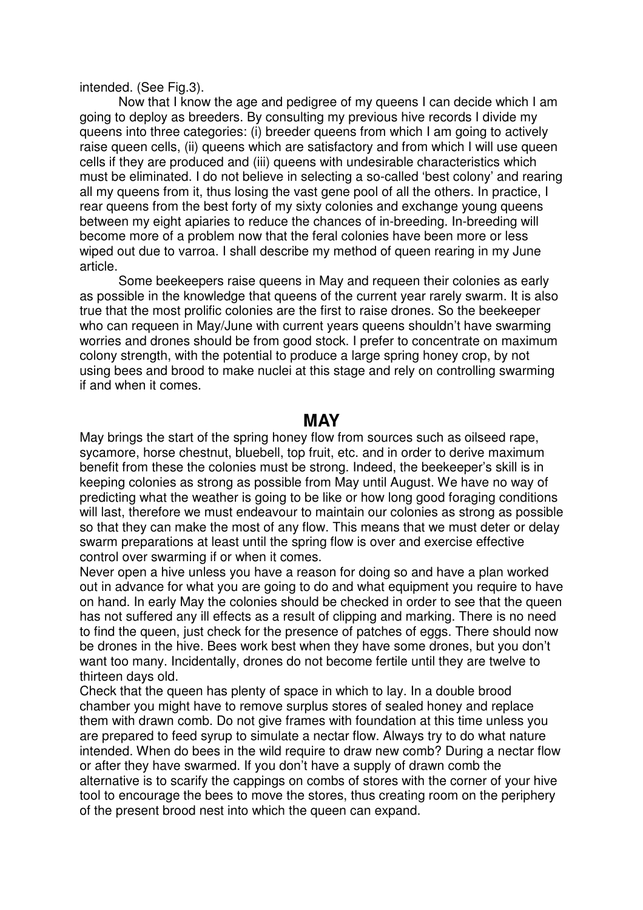intended. (See Fig.3).

Now that I know the age and pedigree of my queens I can decide which I am going to deploy as breeders. By consulting my previous hive records I divide my queens into three categories: (i) breeder queens from which I am going to actively raise queen cells, (ii) queens which are satisfactory and from which I will use queen cells if they are produced and (iii) queens with undesirable characteristics which must be eliminated. I do not believe in selecting a so-called 'best colony' and rearing all my queens from it, thus losing the vast gene pool of all the others. In practice, I rear queens from the best forty of my sixty colonies and exchange young queens between my eight apiaries to reduce the chances of in-breeding. In-breeding will become more of a problem now that the feral colonies have been more or less wiped out due to varroa. I shall describe my method of queen rearing in my June article.

Some beekeepers raise queens in May and requeen their colonies as early as possible in the knowledge that queens of the current year rarely swarm. It is also true that the most prolific colonies are the first to raise drones. So the beekeeper who can requeen in May/June with current years queens shouldn't have swarming worries and drones should be from good stock. I prefer to concentrate on maximum colony strength, with the potential to produce a large spring honey crop, by not using bees and brood to make nuclei at this stage and rely on controlling swarming if and when it comes.

#### **MAY**

May brings the start of the spring honey flow from sources such as oilseed rape, sycamore, horse chestnut, bluebell, top fruit, etc. and in order to derive maximum benefit from these the colonies must be strong. Indeed, the beekeeper's skill is in keeping colonies as strong as possible from May until August. We have no way of predicting what the weather is going to be like or how long good foraging conditions will last, therefore we must endeavour to maintain our colonies as strong as possible so that they can make the most of any flow. This means that we must deter or delay swarm preparations at least until the spring flow is over and exercise effective control over swarming if or when it comes.

Never open a hive unless you have a reason for doing so and have a plan worked out in advance for what you are going to do and what equipment you require to have on hand. In early May the colonies should be checked in order to see that the queen has not suffered any ill effects as a result of clipping and marking. There is no need to find the queen, just check for the presence of patches of eggs. There should now be drones in the hive. Bees work best when they have some drones, but you don't want too many. Incidentally, drones do not become fertile until they are twelve to thirteen days old.

Check that the queen has plenty of space in which to lay. In a double brood chamber you might have to remove surplus stores of sealed honey and replace them with drawn comb. Do not give frames with foundation at this time unless you are prepared to feed syrup to simulate a nectar flow. Always try to do what nature intended. When do bees in the wild require to draw new comb? During a nectar flow or after they have swarmed. If you don't have a supply of drawn comb the alternative is to scarify the cappings on combs of stores with the corner of your hive tool to encourage the bees to move the stores, thus creating room on the periphery of the present brood nest into which the queen can expand.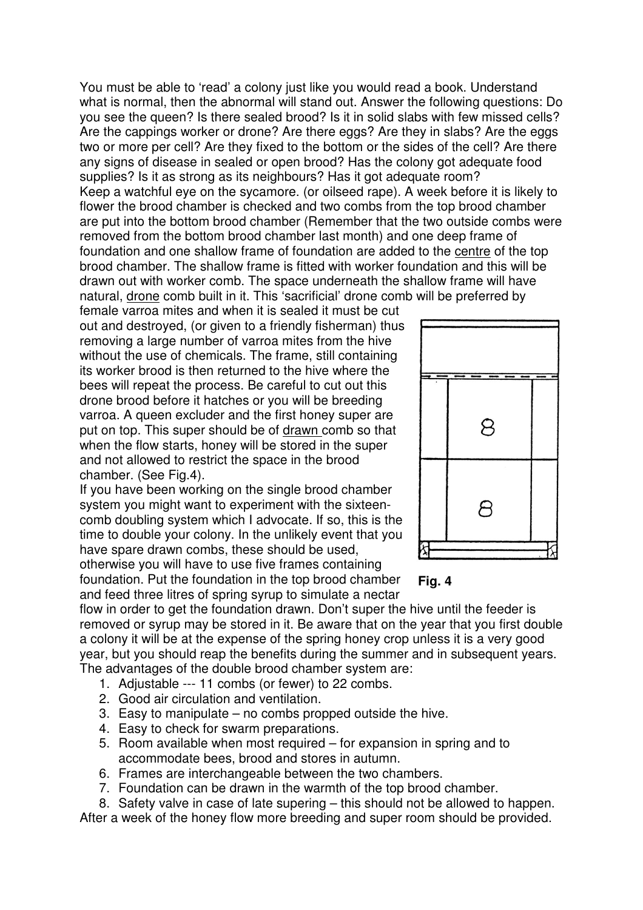You must be able to 'read' a colony just like you would read a book. Understand what is normal, then the abnormal will stand out. Answer the following questions: Do you see the queen? Is there sealed brood? Is it in solid slabs with few missed cells? Are the cappings worker or drone? Are there eggs? Are they in slabs? Are the eggs two or more per cell? Are they fixed to the bottom or the sides of the cell? Are there any signs of disease in sealed or open brood? Has the colony got adequate food supplies? Is it as strong as its neighbours? Has it got adequate room? Keep a watchful eye on the sycamore. (or oilseed rape). A week before it is likely to flower the brood chamber is checked and two combs from the top brood chamber are put into the bottom brood chamber (Remember that the two outside combs were removed from the bottom brood chamber last month) and one deep frame of foundation and one shallow frame of foundation are added to the centre of the top brood chamber. The shallow frame is fitted with worker foundation and this will be drawn out with worker comb. The space underneath the shallow frame will have natural, drone comb built in it. This 'sacrificial' drone comb will be preferred by

female varroa mites and when it is sealed it must be cut out and destroyed, (or given to a friendly fisherman) thus removing a large number of varroa mites from the hive without the use of chemicals. The frame, still containing its worker brood is then returned to the hive where the bees will repeat the process. Be careful to cut out this drone brood before it hatches or you will be breeding varroa. A queen excluder and the first honey super are put on top. This super should be of drawn comb so that when the flow starts, honey will be stored in the super and not allowed to restrict the space in the brood chamber. (See Fig.4).

If you have been working on the single brood chamber system you might want to experiment with the sixteencomb doubling system which I advocate. If so, this is the time to double your colony. In the unlikely event that you have spare drawn combs, these should be used, otherwise you will have to use five frames containing foundation. Put the foundation in the top brood chamber and feed three litres of spring syrup to simulate a nectar





flow in order to get the foundation drawn. Don't super the hive until the feeder is removed or syrup may be stored in it. Be aware that on the year that you first double a colony it will be at the expense of the spring honey crop unless it is a very good year, but you should reap the benefits during the summer and in subsequent years. The advantages of the double brood chamber system are:

- 1. Adjustable --- 11 combs (or fewer) to 22 combs.
- 2. Good air circulation and ventilation.
- 3. Easy to manipulate no combs propped outside the hive.
- 4. Easy to check for swarm preparations.
- 5. Room available when most required for expansion in spring and to accommodate bees, brood and stores in autumn.
- 6. Frames are interchangeable between the two chambers.
- 7. Foundation can be drawn in the warmth of the top brood chamber.
- 8. Safety valve in case of late supering this should not be allowed to happen.

After a week of the honey flow more breeding and super room should be provided.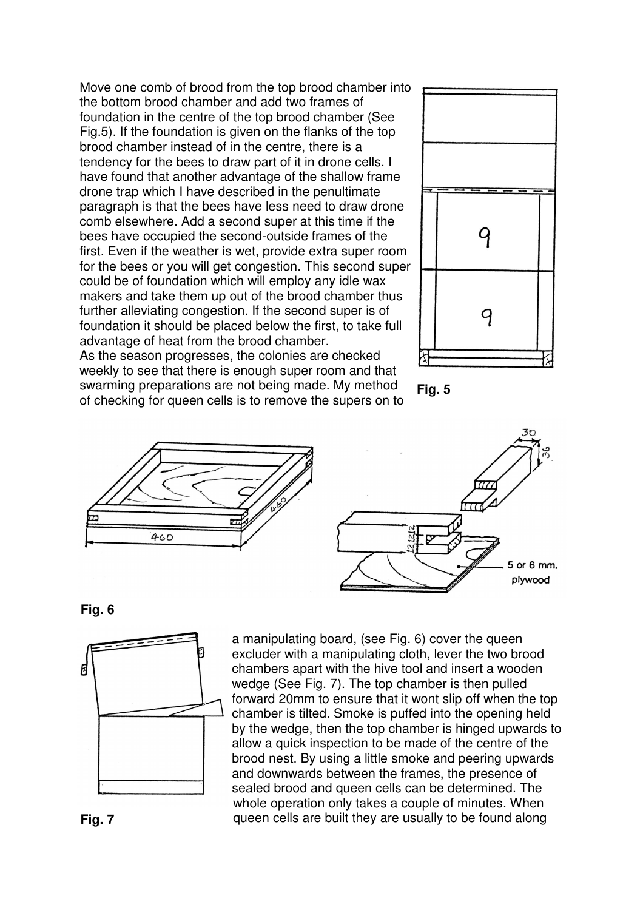Move one comb of brood from the top brood chamber into the bottom brood chamber and add two frames of foundation in the centre of the top brood chamber (See Fig.5). If the foundation is given on the flanks of the top brood chamber instead of in the centre, there is a tendency for the bees to draw part of it in drone cells. I have found that another advantage of the shallow frame drone trap which I have described in the penultimate paragraph is that the bees have less need to draw drone comb elsewhere. Add a second super at this time if the bees have occupied the second-outside frames of the first. Even if the weather is wet, provide extra super room for the bees or you will get congestion. This second super could be of foundation which will employ any idle wax makers and take them up out of the brood chamber thus further alleviating congestion. If the second super is of foundation it should be placed below the first, to take full advantage of heat from the brood chamber. As the season progresses, the colonies are checked weekly to see that there is enough super room and that

swarming preparations are not being made. My method of checking for queen cells is to remove the supers on to









**Fig. 6**



a manipulating board, (see Fig. 6) cover the queen excluder with a manipulating cloth, lever the two brood chambers apart with the hive tool and insert a wooden wedge (See Fig. 7). The top chamber is then pulled forward 20mm to ensure that it wont slip off when the top chamber is tilted. Smoke is puffed into the opening held by the wedge, then the top chamber is hinged upwards to allow a quick inspection to be made of the centre of the brood nest. By using a little smoke and peering upwards and downwards between the frames, the presence of sealed brood and queen cells can be determined. The whole operation only takes a couple of minutes. When queen cells are built they are usually to be found along

**Fig. 7**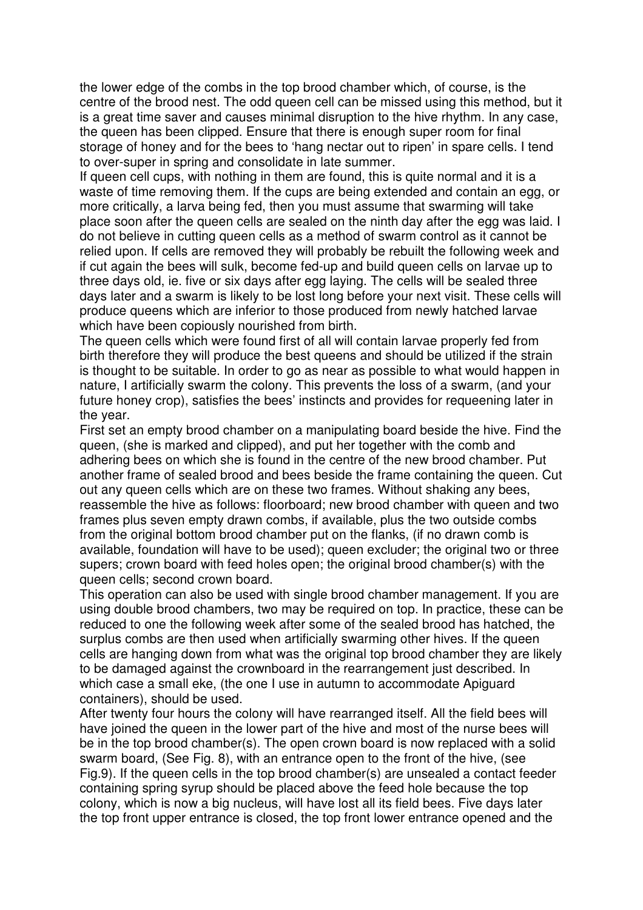the lower edge of the combs in the top brood chamber which, of course, is the centre of the brood nest. The odd queen cell can be missed using this method, but it is a great time saver and causes minimal disruption to the hive rhythm. In any case, the queen has been clipped. Ensure that there is enough super room for final storage of honey and for the bees to 'hang nectar out to ripen' in spare cells. I tend to over-super in spring and consolidate in late summer.

If queen cell cups, with nothing in them are found, this is quite normal and it is a waste of time removing them. If the cups are being extended and contain an egg, or more critically, a larva being fed, then you must assume that swarming will take place soon after the queen cells are sealed on the ninth day after the egg was laid. I do not believe in cutting queen cells as a method of swarm control as it cannot be relied upon. If cells are removed they will probably be rebuilt the following week and if cut again the bees will sulk, become fed-up and build queen cells on larvae up to three days old, ie. five or six days after egg laying. The cells will be sealed three days later and a swarm is likely to be lost long before your next visit. These cells will produce queens which are inferior to those produced from newly hatched larvae which have been copiously nourished from birth.

The queen cells which were found first of all will contain larvae properly fed from birth therefore they will produce the best queens and should be utilized if the strain is thought to be suitable. In order to go as near as possible to what would happen in nature, I artificially swarm the colony. This prevents the loss of a swarm, (and your future honey crop), satisfies the bees' instincts and provides for requeening later in the year.

First set an empty brood chamber on a manipulating board beside the hive. Find the queen, (she is marked and clipped), and put her together with the comb and adhering bees on which she is found in the centre of the new brood chamber. Put another frame of sealed brood and bees beside the frame containing the queen. Cut out any queen cells which are on these two frames. Without shaking any bees, reassemble the hive as follows: floorboard; new brood chamber with queen and two frames plus seven empty drawn combs, if available, plus the two outside combs from the original bottom brood chamber put on the flanks, (if no drawn comb is available, foundation will have to be used); queen excluder; the original two or three supers; crown board with feed holes open; the original brood chamber(s) with the queen cells; second crown board.

This operation can also be used with single brood chamber management. If you are using double brood chambers, two may be required on top. In practice, these can be reduced to one the following week after some of the sealed brood has hatched, the surplus combs are then used when artificially swarming other hives. If the queen cells are hanging down from what was the original top brood chamber they are likely to be damaged against the crownboard in the rearrangement just described. In which case a small eke, (the one I use in autumn to accommodate Apiguard containers), should be used.

After twenty four hours the colony will have rearranged itself. All the field bees will have joined the queen in the lower part of the hive and most of the nurse bees will be in the top brood chamber(s). The open crown board is now replaced with a solid swarm board, (See Fig. 8), with an entrance open to the front of the hive, (see Fig.9). If the queen cells in the top brood chamber(s) are unsealed a contact feeder containing spring syrup should be placed above the feed hole because the top colony, which is now a big nucleus, will have lost all its field bees. Five days later the top front upper entrance is closed, the top front lower entrance opened and the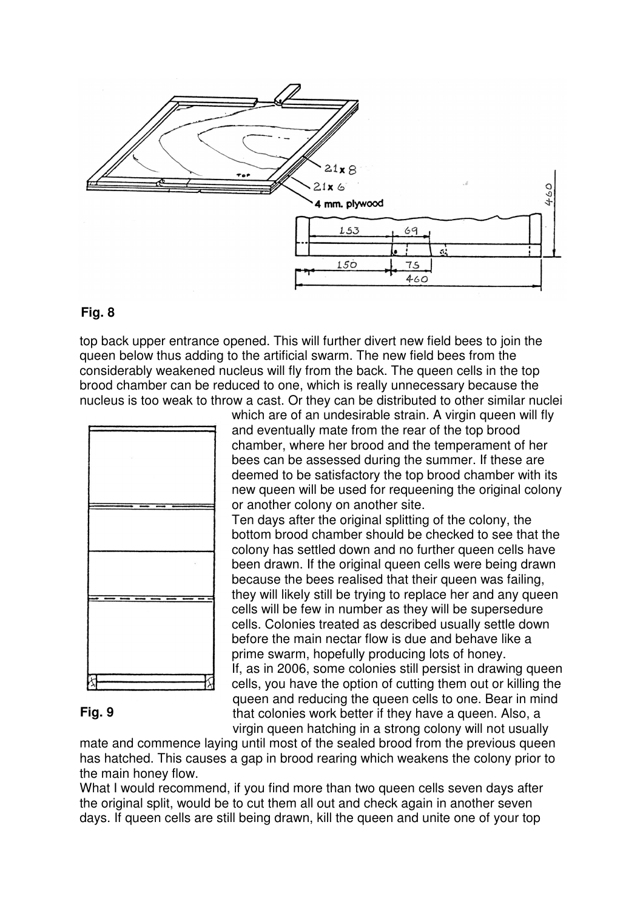

#### **Fig. 8**

top back upper entrance opened. This will further divert new field bees to join the queen below thus adding to the artificial swarm. The new field bees from the considerably weakened nucleus will fly from the back. The queen cells in the top brood chamber can be reduced to one, which is really unnecessary because the nucleus is too weak to throw a cast. Or they can be distributed to other similar nuclei



#### which are of an undesirable strain. A virgin queen will fly and eventually mate from the rear of the top brood chamber, where her brood and the temperament of her bees can be assessed during the summer. If these are deemed to be satisfactory the top brood chamber with its new queen will be used for requeening the original colony or another colony on another site. Ten days after the original splitting of the colony, the

bottom brood chamber should be checked to see that the colony has settled down and no further queen cells have been drawn. If the original queen cells were being drawn because the bees realised that their queen was failing, they will likely still be trying to replace her and any queen cells will be few in number as they will be supersedure cells. Colonies treated as described usually settle down before the main nectar flow is due and behave like a prime swarm, hopefully producing lots of honey. If, as in 2006, some colonies still persist in drawing queen cells, you have the option of cutting them out or killing the queen and reducing the queen cells to one. Bear in mind that colonies work better if they have a queen. Also, a virgin queen hatching in a strong colony will not usually

#### **Fig. 9**

mate and commence laying until most of the sealed brood from the previous queen has hatched. This causes a gap in brood rearing which weakens the colony prior to the main honey flow.

What I would recommend, if you find more than two queen cells seven days after the original split, would be to cut them all out and check again in another seven days. If queen cells are still being drawn, kill the queen and unite one of your top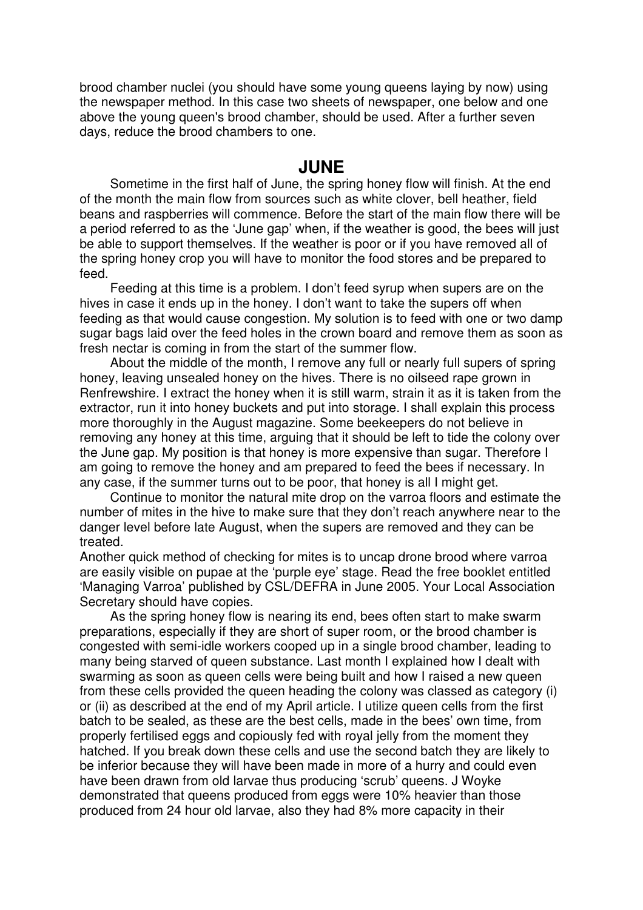brood chamber nuclei (you should have some young queens laying by now) using the newspaper method. In this case two sheets of newspaper, one below and one above the young queen's brood chamber, should be used. After a further seven days, reduce the brood chambers to one.

#### **JUNE**

Sometime in the first half of June, the spring honey flow will finish. At the end of the month the main flow from sources such as white clover, bell heather, field beans and raspberries will commence. Before the start of the main flow there will be a period referred to as the 'June gap' when, if the weather is good, the bees will just be able to support themselves. If the weather is poor or if you have removed all of the spring honey crop you will have to monitor the food stores and be prepared to feed.

Feeding at this time is a problem. I don't feed syrup when supers are on the hives in case it ends up in the honey. I don't want to take the supers off when feeding as that would cause congestion. My solution is to feed with one or two damp sugar bags laid over the feed holes in the crown board and remove them as soon as fresh nectar is coming in from the start of the summer flow.

About the middle of the month, I remove any full or nearly full supers of spring honey, leaving unsealed honey on the hives. There is no oilseed rape grown in Renfrewshire. I extract the honey when it is still warm, strain it as it is taken from the extractor, run it into honey buckets and put into storage. I shall explain this process more thoroughly in the August magazine. Some beekeepers do not believe in removing any honey at this time, arguing that it should be left to tide the colony over the June gap. My position is that honey is more expensive than sugar. Therefore I am going to remove the honey and am prepared to feed the bees if necessary. In any case, if the summer turns out to be poor, that honey is all I might get.

Continue to monitor the natural mite drop on the varroa floors and estimate the number of mites in the hive to make sure that they don't reach anywhere near to the danger level before late August, when the supers are removed and they can be treated.

Another quick method of checking for mites is to uncap drone brood where varroa are easily visible on pupae at the 'purple eye' stage. Read the free booklet entitled 'Managing Varroa' published by CSL/DEFRA in June 2005. Your Local Association Secretary should have copies.

As the spring honey flow is nearing its end, bees often start to make swarm preparations, especially if they are short of super room, or the brood chamber is congested with semi-idle workers cooped up in a single brood chamber, leading to many being starved of queen substance. Last month I explained how I dealt with swarming as soon as queen cells were being built and how I raised a new queen from these cells provided the queen heading the colony was classed as category (i) or (ii) as described at the end of my April article. I utilize queen cells from the first batch to be sealed, as these are the best cells, made in the bees' own time, from properly fertilised eggs and copiously fed with royal jelly from the moment they hatched. If you break down these cells and use the second batch they are likely to be inferior because they will have been made in more of a hurry and could even have been drawn from old larvae thus producing 'scrub' queens. J Woyke demonstrated that queens produced from eggs were 10% heavier than those produced from 24 hour old larvae, also they had 8% more capacity in their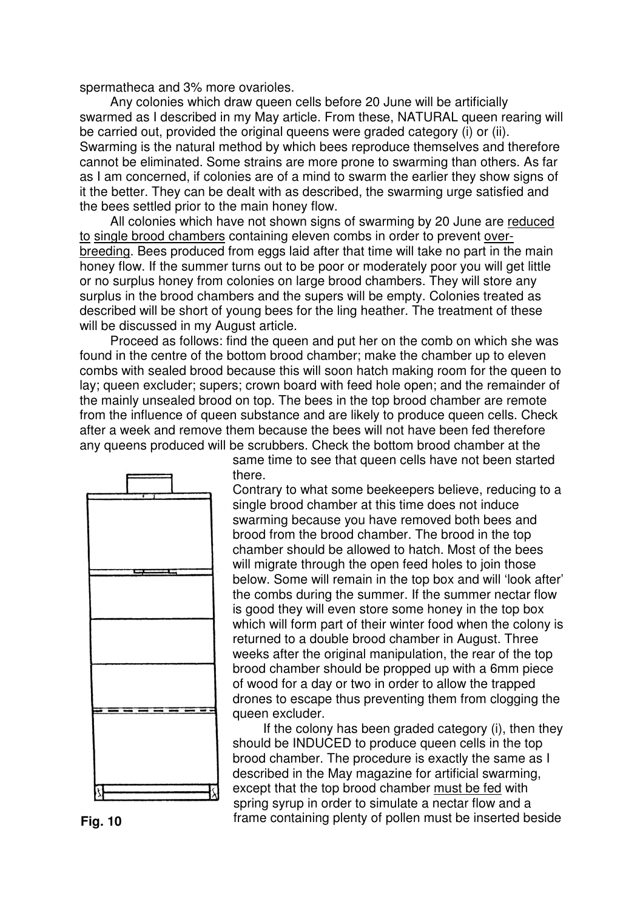spermatheca and 3% more ovarioles.

Any colonies which draw queen cells before 20 June will be artificially swarmed as I described in my May article. From these, NATURAL queen rearing will be carried out, provided the original queens were graded category (i) or (ii). Swarming is the natural method by which bees reproduce themselves and therefore cannot be eliminated. Some strains are more prone to swarming than others. As far as I am concerned, if colonies are of a mind to swarm the earlier they show signs of it the better. They can be dealt with as described, the swarming urge satisfied and the bees settled prior to the main honey flow.

All colonies which have not shown signs of swarming by 20 June are reduced to single brood chambers containing eleven combs in order to prevent overbreeding. Bees produced from eggs laid after that time will take no part in the main honey flow. If the summer turns out to be poor or moderately poor you will get little or no surplus honey from colonies on large brood chambers. They will store any surplus in the brood chambers and the supers will be empty. Colonies treated as described will be short of young bees for the ling heather. The treatment of these will be discussed in my August article.

Proceed as follows: find the queen and put her on the comb on which she was found in the centre of the bottom brood chamber; make the chamber up to eleven combs with sealed brood because this will soon hatch making room for the queen to lay; queen excluder; supers; crown board with feed hole open; and the remainder of the mainly unsealed brood on top. The bees in the top brood chamber are remote from the influence of queen substance and are likely to produce queen cells. Check after a week and remove them because the bees will not have been fed therefore any queens produced will be scrubbers. Check the bottom brood chamber at the

> same time to see that queen cells have not been started there.



Contrary to what some beekeepers believe, reducing to a single brood chamber at this time does not induce swarming because you have removed both bees and brood from the brood chamber. The brood in the top chamber should be allowed to hatch. Most of the bees will migrate through the open feed holes to join those below. Some will remain in the top box and will 'look after' the combs during the summer. If the summer nectar flow is good they will even store some honey in the top box which will form part of their winter food when the colony is returned to a double brood chamber in August. Three weeks after the original manipulation, the rear of the top brood chamber should be propped up with a 6mm piece of wood for a day or two in order to allow the trapped drones to escape thus preventing them from clogging the queen excluder.

If the colony has been graded category (i), then they should be INDUCED to produce queen cells in the top brood chamber. The procedure is exactly the same as I described in the May magazine for artificial swarming, except that the top brood chamber must be fed with spring syrup in order to simulate a nectar flow and a **Fig. 10 Fig. 10 frame containing plenty of pollen must be inserted beside**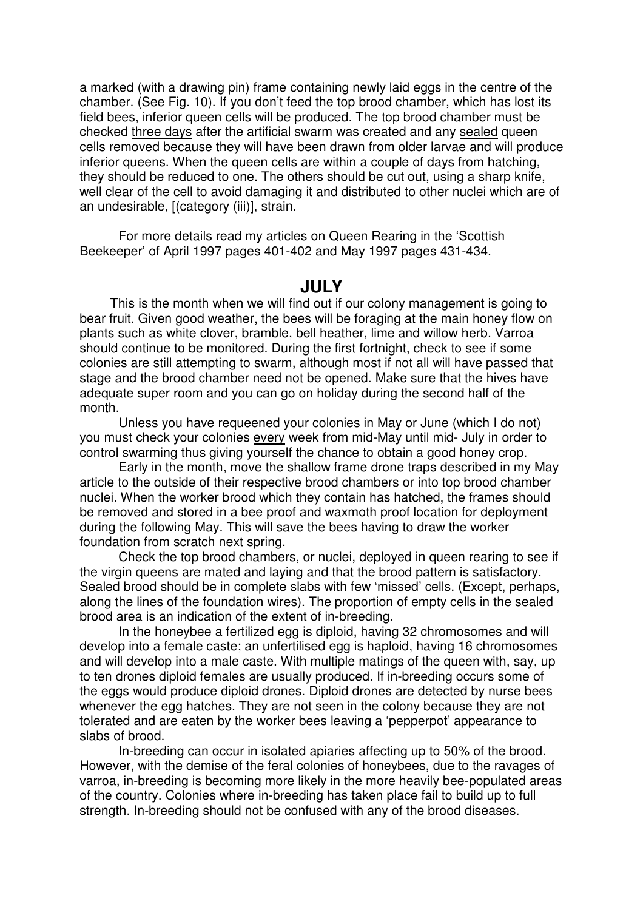a marked (with a drawing pin) frame containing newly laid eggs in the centre of the chamber. (See Fig. 10). If you don't feed the top brood chamber, which has lost its field bees, inferior queen cells will be produced. The top brood chamber must be checked three days after the artificial swarm was created and any sealed queen cells removed because they will have been drawn from older larvae and will produce inferior queens. When the queen cells are within a couple of days from hatching, they should be reduced to one. The others should be cut out, using a sharp knife, well clear of the cell to avoid damaging it and distributed to other nuclei which are of an undesirable, [(category (iii)], strain.

For more details read my articles on Queen Rearing in the 'Scottish Beekeeper' of April 1997 pages 401-402 and May 1997 pages 431-434.

#### **JULY**

This is the month when we will find out if our colony management is going to bear fruit. Given good weather, the bees will be foraging at the main honey flow on plants such as white clover, bramble, bell heather, lime and willow herb. Varroa should continue to be monitored. During the first fortnight, check to see if some colonies are still attempting to swarm, although most if not all will have passed that stage and the brood chamber need not be opened. Make sure that the hives have adequate super room and you can go on holiday during the second half of the month.

Unless you have requeened your colonies in May or June (which I do not) you must check your colonies every week from mid-May until mid- July in order to control swarming thus giving yourself the chance to obtain a good honey crop.

Early in the month, move the shallow frame drone traps described in my May article to the outside of their respective brood chambers or into top brood chamber nuclei. When the worker brood which they contain has hatched, the frames should be removed and stored in a bee proof and waxmoth proof location for deployment during the following May. This will save the bees having to draw the worker foundation from scratch next spring.

Check the top brood chambers, or nuclei, deployed in queen rearing to see if the virgin queens are mated and laying and that the brood pattern is satisfactory. Sealed brood should be in complete slabs with few 'missed' cells. (Except, perhaps, along the lines of the foundation wires). The proportion of empty cells in the sealed brood area is an indication of the extent of in-breeding.

In the honeybee a fertilized egg is diploid, having 32 chromosomes and will develop into a female caste; an unfertilised egg is haploid, having 16 chromosomes and will develop into a male caste. With multiple matings of the queen with, say, up to ten drones diploid females are usually produced. If in-breeding occurs some of the eggs would produce diploid drones. Diploid drones are detected by nurse bees whenever the egg hatches. They are not seen in the colony because they are not tolerated and are eaten by the worker bees leaving a 'pepperpot' appearance to slabs of brood.

In-breeding can occur in isolated apiaries affecting up to 50% of the brood. However, with the demise of the feral colonies of honeybees, due to the ravages of varroa, in-breeding is becoming more likely in the more heavily bee-populated areas of the country. Colonies where in-breeding has taken place fail to build up to full strength. In-breeding should not be confused with any of the brood diseases.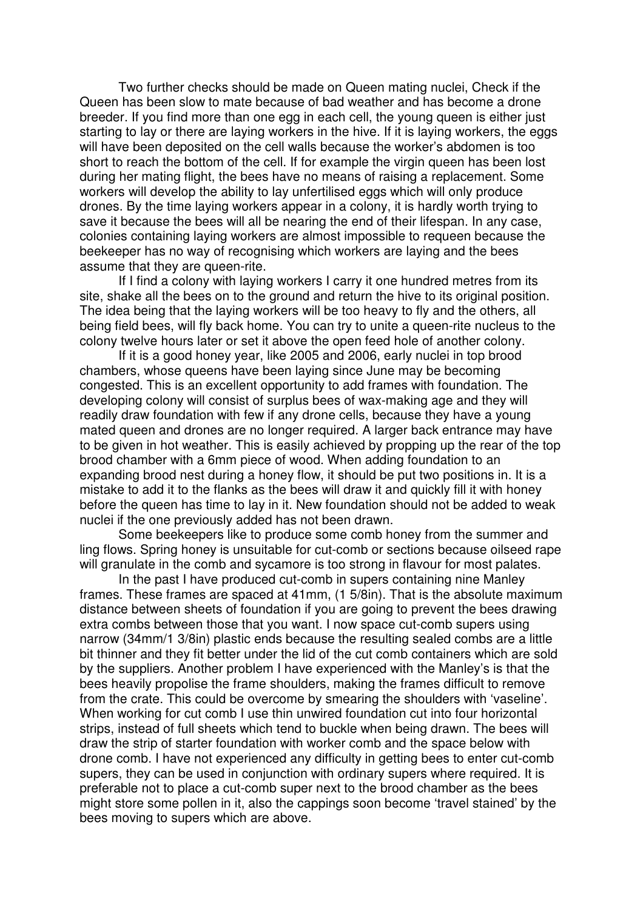Two further checks should be made on Queen mating nuclei, Check if the Queen has been slow to mate because of bad weather and has become a drone breeder. If you find more than one egg in each cell, the young queen is either just starting to lay or there are laying workers in the hive. If it is laying workers, the eggs will have been deposited on the cell walls because the worker's abdomen is too short to reach the bottom of the cell. If for example the virgin queen has been lost during her mating flight, the bees have no means of raising a replacement. Some workers will develop the ability to lay unfertilised eggs which will only produce drones. By the time laying workers appear in a colony, it is hardly worth trying to save it because the bees will all be nearing the end of their lifespan. In any case, colonies containing laying workers are almost impossible to requeen because the beekeeper has no way of recognising which workers are laying and the bees assume that they are queen-rite.

If I find a colony with laying workers I carry it one hundred metres from its site, shake all the bees on to the ground and return the hive to its original position. The idea being that the laying workers will be too heavy to fly and the others, all being field bees, will fly back home. You can try to unite a queen-rite nucleus to the colony twelve hours later or set it above the open feed hole of another colony.

If it is a good honey year, like 2005 and 2006, early nuclei in top brood chambers, whose queens have been laying since June may be becoming congested. This is an excellent opportunity to add frames with foundation. The developing colony will consist of surplus bees of wax-making age and they will readily draw foundation with few if any drone cells, because they have a young mated queen and drones are no longer required. A larger back entrance may have to be given in hot weather. This is easily achieved by propping up the rear of the top brood chamber with a 6mm piece of wood. When adding foundation to an expanding brood nest during a honey flow, it should be put two positions in. It is a mistake to add it to the flanks as the bees will draw it and quickly fill it with honey before the queen has time to lay in it. New foundation should not be added to weak nuclei if the one previously added has not been drawn.

Some beekeepers like to produce some comb honey from the summer and ling flows. Spring honey is unsuitable for cut-comb or sections because oilseed rape will granulate in the comb and sycamore is too strong in flavour for most palates.

In the past I have produced cut-comb in supers containing nine Manley frames. These frames are spaced at 41mm, (1 5/8in). That is the absolute maximum distance between sheets of foundation if you are going to prevent the bees drawing extra combs between those that you want. I now space cut-comb supers using narrow (34mm/1 3/8in) plastic ends because the resulting sealed combs are a little bit thinner and they fit better under the lid of the cut comb containers which are sold by the suppliers. Another problem I have experienced with the Manley's is that the bees heavily propolise the frame shoulders, making the frames difficult to remove from the crate. This could be overcome by smearing the shoulders with 'vaseline'. When working for cut comb I use thin unwired foundation cut into four horizontal strips, instead of full sheets which tend to buckle when being drawn. The bees will draw the strip of starter foundation with worker comb and the space below with drone comb. I have not experienced any difficulty in getting bees to enter cut-comb supers, they can be used in conjunction with ordinary supers where required. It is preferable not to place a cut-comb super next to the brood chamber as the bees might store some pollen in it, also the cappings soon become 'travel stained' by the bees moving to supers which are above.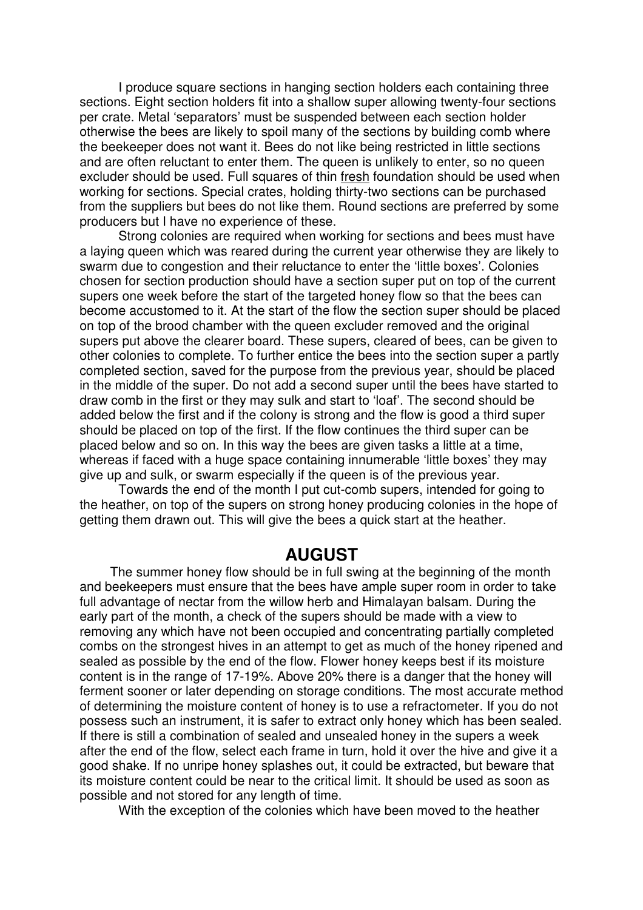I produce square sections in hanging section holders each containing three sections. Eight section holders fit into a shallow super allowing twenty-four sections per crate. Metal 'separators' must be suspended between each section holder otherwise the bees are likely to spoil many of the sections by building comb where the beekeeper does not want it. Bees do not like being restricted in little sections and are often reluctant to enter them. The queen is unlikely to enter, so no queen excluder should be used. Full squares of thin fresh foundation should be used when working for sections. Special crates, holding thirty-two sections can be purchased from the suppliers but bees do not like them. Round sections are preferred by some producers but I have no experience of these.

Strong colonies are required when working for sections and bees must have a laying queen which was reared during the current year otherwise they are likely to swarm due to congestion and their reluctance to enter the 'little boxes'. Colonies chosen for section production should have a section super put on top of the current supers one week before the start of the targeted honey flow so that the bees can become accustomed to it. At the start of the flow the section super should be placed on top of the brood chamber with the queen excluder removed and the original supers put above the clearer board. These supers, cleared of bees, can be given to other colonies to complete. To further entice the bees into the section super a partly completed section, saved for the purpose from the previous year, should be placed in the middle of the super. Do not add a second super until the bees have started to draw comb in the first or they may sulk and start to 'loaf'. The second should be added below the first and if the colony is strong and the flow is good a third super should be placed on top of the first. If the flow continues the third super can be placed below and so on. In this way the bees are given tasks a little at a time, whereas if faced with a huge space containing innumerable 'little boxes' they may give up and sulk, or swarm especially if the queen is of the previous year.

Towards the end of the month I put cut-comb supers, intended for going to the heather, on top of the supers on strong honey producing colonies in the hope of getting them drawn out. This will give the bees a quick start at the heather.

## **AUGUST**

The summer honey flow should be in full swing at the beginning of the month and beekeepers must ensure that the bees have ample super room in order to take full advantage of nectar from the willow herb and Himalayan balsam. During the early part of the month, a check of the supers should be made with a view to removing any which have not been occupied and concentrating partially completed combs on the strongest hives in an attempt to get as much of the honey ripened and sealed as possible by the end of the flow. Flower honey keeps best if its moisture content is in the range of 17-19%. Above 20% there is a danger that the honey will ferment sooner or later depending on storage conditions. The most accurate method of determining the moisture content of honey is to use a refractometer. If you do not possess such an instrument, it is safer to extract only honey which has been sealed. If there is still a combination of sealed and unsealed honey in the supers a week after the end of the flow, select each frame in turn, hold it over the hive and give it a good shake. If no unripe honey splashes out, it could be extracted, but beware that its moisture content could be near to the critical limit. It should be used as soon as possible and not stored for any length of time.

With the exception of the colonies which have been moved to the heather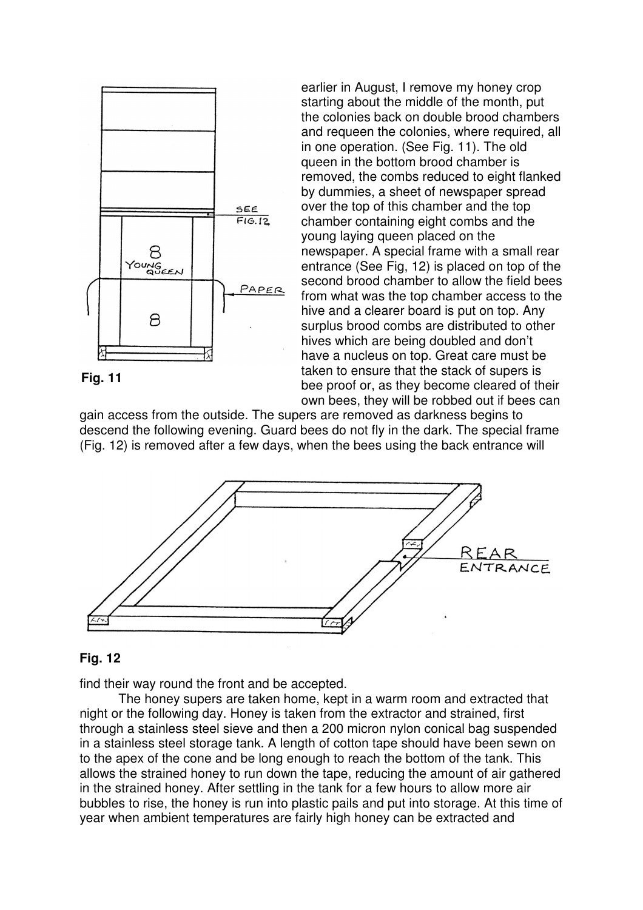

earlier in August, I remove my honey crop starting about the middle of the month, put the colonies back on double brood chambers and requeen the colonies, where required, all in one operation. (See Fig. 11). The old queen in the bottom brood chamber is removed, the combs reduced to eight flanked by dummies, a sheet of newspaper spread over the top of this chamber and the top chamber containing eight combs and the young laying queen placed on the newspaper. A special frame with a small rear entrance (See Fig, 12) is placed on top of the second brood chamber to allow the field bees from what was the top chamber access to the hive and a clearer board is put on top. Any surplus brood combs are distributed to other hives which are being doubled and don't have a nucleus on top. Great care must be taken to ensure that the stack of supers is bee proof or, as they become cleared of their own bees, they will be robbed out if bees can

gain access from the outside. The supers are removed as darkness begins to descend the following evening. Guard bees do not fly in the dark. The special frame (Fig. 12) is removed after a few days, when the bees using the back entrance will



#### **Fig. 12**

find their way round the front and be accepted.

The honey supers are taken home, kept in a warm room and extracted that night or the following day. Honey is taken from the extractor and strained, first through a stainless steel sieve and then a 200 micron nylon conical bag suspended in a stainless steel storage tank. A length of cotton tape should have been sewn on to the apex of the cone and be long enough to reach the bottom of the tank. This allows the strained honey to run down the tape, reducing the amount of air gathered in the strained honey. After settling in the tank for a few hours to allow more air bubbles to rise, the honey is run into plastic pails and put into storage. At this time of year when ambient temperatures are fairly high honey can be extracted and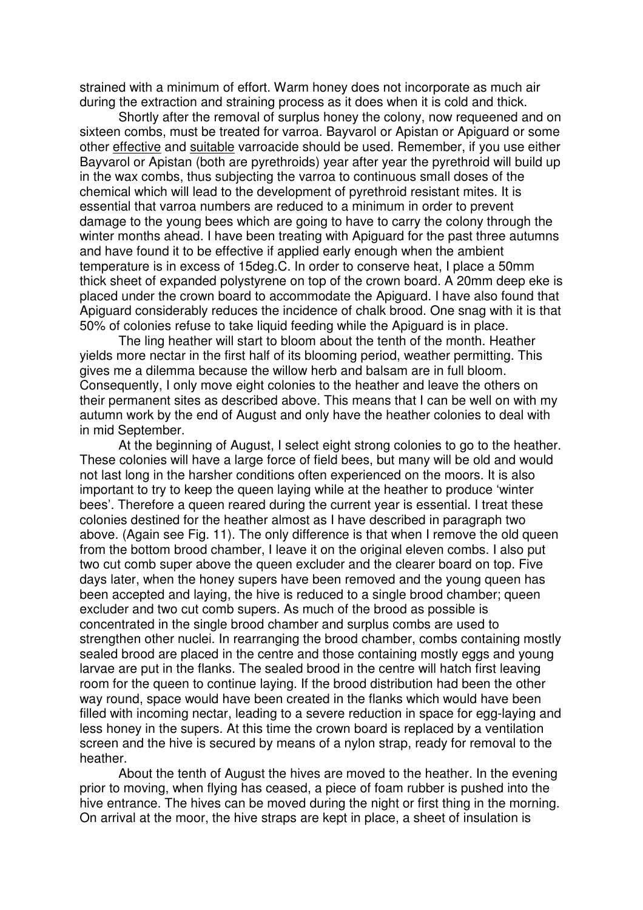strained with a minimum of effort. Warm honey does not incorporate as much air during the extraction and straining process as it does when it is cold and thick.

Shortly after the removal of surplus honey the colony, now requeened and on sixteen combs, must be treated for varroa. Bayvarol or Apistan or Apiguard or some other effective and suitable varroacide should be used. Remember, if you use either Bayvarol or Apistan (both are pyrethroids) year after year the pyrethroid will build up in the wax combs, thus subjecting the varroa to continuous small doses of the chemical which will lead to the development of pyrethroid resistant mites. It is essential that varroa numbers are reduced to a minimum in order to prevent damage to the young bees which are going to have to carry the colony through the winter months ahead. I have been treating with Apiguard for the past three autumns and have found it to be effective if applied early enough when the ambient temperature is in excess of 15deg.C. In order to conserve heat, I place a 50mm thick sheet of expanded polystyrene on top of the crown board. A 20mm deep eke is placed under the crown board to accommodate the Apiguard. I have also found that Apiguard considerably reduces the incidence of chalk brood. One snag with it is that 50% of colonies refuse to take liquid feeding while the Apiguard is in place.

The ling heather will start to bloom about the tenth of the month. Heather yields more nectar in the first half of its blooming period, weather permitting. This gives me a dilemma because the willow herb and balsam are in full bloom. Consequently, I only move eight colonies to the heather and leave the others on their permanent sites as described above. This means that I can be well on with my autumn work by the end of August and only have the heather colonies to deal with in mid September.

At the beginning of August, I select eight strong colonies to go to the heather. These colonies will have a large force of field bees, but many will be old and would not last long in the harsher conditions often experienced on the moors. It is also important to try to keep the queen laying while at the heather to produce 'winter bees'. Therefore a queen reared during the current year is essential. I treat these colonies destined for the heather almost as I have described in paragraph two above. (Again see Fig. 11). The only difference is that when I remove the old queen from the bottom brood chamber, I leave it on the original eleven combs. I also put two cut comb super above the queen excluder and the clearer board on top. Five days later, when the honey supers have been removed and the young queen has been accepted and laying, the hive is reduced to a single brood chamber; queen excluder and two cut comb supers. As much of the brood as possible is concentrated in the single brood chamber and surplus combs are used to strengthen other nuclei. In rearranging the brood chamber, combs containing mostly sealed brood are placed in the centre and those containing mostly eggs and young larvae are put in the flanks. The sealed brood in the centre will hatch first leaving room for the queen to continue laying. If the brood distribution had been the other way round, space would have been created in the flanks which would have been filled with incoming nectar, leading to a severe reduction in space for egg-laying and less honey in the supers. At this time the crown board is replaced by a ventilation screen and the hive is secured by means of a nylon strap, ready for removal to the heather.

About the tenth of August the hives are moved to the heather. In the evening prior to moving, when flying has ceased, a piece of foam rubber is pushed into the hive entrance. The hives can be moved during the night or first thing in the morning. On arrival at the moor, the hive straps are kept in place, a sheet of insulation is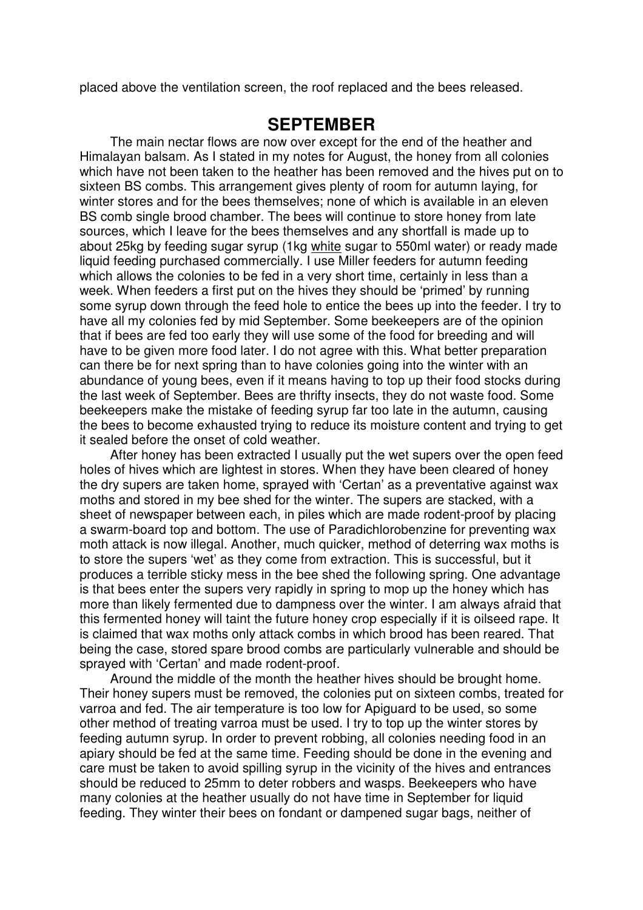placed above the ventilation screen, the roof replaced and the bees released.

## **SEPTEMBER**

The main nectar flows are now over except for the end of the heather and Himalayan balsam. As I stated in my notes for August, the honey from all colonies which have not been taken to the heather has been removed and the hives put on to sixteen BS combs. This arrangement gives plenty of room for autumn laying, for winter stores and for the bees themselves; none of which is available in an eleven BS comb single brood chamber. The bees will continue to store honey from late sources, which I leave for the bees themselves and any shortfall is made up to about 25kg by feeding sugar syrup (1kg white sugar to 550ml water) or ready made liquid feeding purchased commercially. I use Miller feeders for autumn feeding which allows the colonies to be fed in a very short time, certainly in less than a week. When feeders a first put on the hives they should be 'primed' by running some syrup down through the feed hole to entice the bees up into the feeder. I try to have all my colonies fed by mid September. Some beekeepers are of the opinion that if bees are fed too early they will use some of the food for breeding and will have to be given more food later. I do not agree with this. What better preparation can there be for next spring than to have colonies going into the winter with an abundance of young bees, even if it means having to top up their food stocks during the last week of September. Bees are thrifty insects, they do not waste food. Some beekeepers make the mistake of feeding syrup far too late in the autumn, causing the bees to become exhausted trying to reduce its moisture content and trying to get it sealed before the onset of cold weather.

After honey has been extracted I usually put the wet supers over the open feed holes of hives which are lightest in stores. When they have been cleared of honey the dry supers are taken home, sprayed with 'Certan' as a preventative against wax moths and stored in my bee shed for the winter. The supers are stacked, with a sheet of newspaper between each, in piles which are made rodent-proof by placing a swarm-board top and bottom. The use of Paradichlorobenzine for preventing wax moth attack is now illegal. Another, much quicker, method of deterring wax moths is to store the supers 'wet' as they come from extraction. This is successful, but it produces a terrible sticky mess in the bee shed the following spring. One advantage is that bees enter the supers very rapidly in spring to mop up the honey which has more than likely fermented due to dampness over the winter. I am always afraid that this fermented honey will taint the future honey crop especially if it is oilseed rape. It is claimed that wax moths only attack combs in which brood has been reared. That being the case, stored spare brood combs are particularly vulnerable and should be sprayed with 'Certan' and made rodent-proof.

Around the middle of the month the heather hives should be brought home. Their honey supers must be removed, the colonies put on sixteen combs, treated for varroa and fed. The air temperature is too low for Apiguard to be used, so some other method of treating varroa must be used. I try to top up the winter stores by feeding autumn syrup. In order to prevent robbing, all colonies needing food in an apiary should be fed at the same time. Feeding should be done in the evening and care must be taken to avoid spilling syrup in the vicinity of the hives and entrances should be reduced to 25mm to deter robbers and wasps. Beekeepers who have many colonies at the heather usually do not have time in September for liquid feeding. They winter their bees on fondant or dampened sugar bags, neither of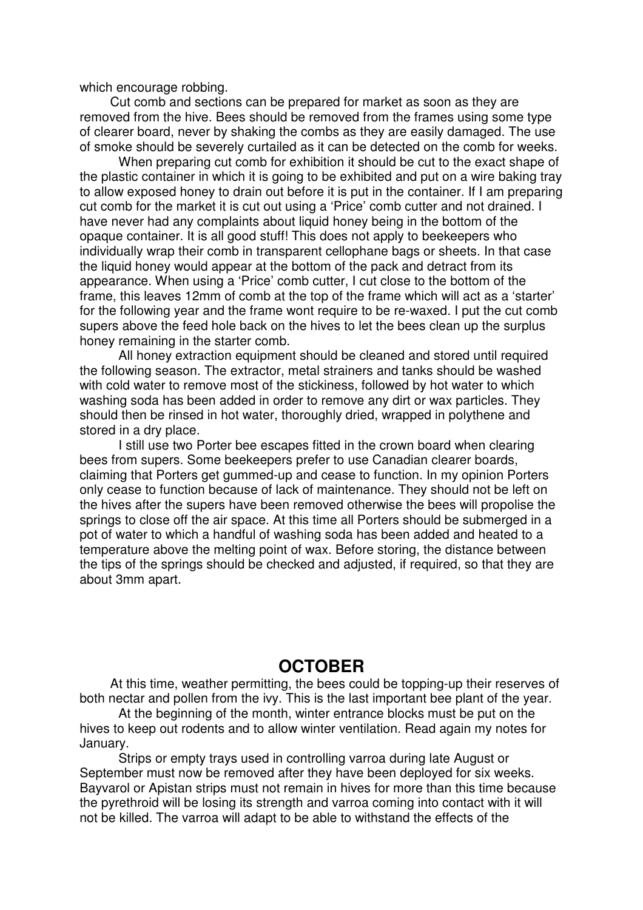which encourage robbing.

Cut comb and sections can be prepared for market as soon as they are removed from the hive. Bees should be removed from the frames using some type of clearer board, never by shaking the combs as they are easily damaged. The use of smoke should be severely curtailed as it can be detected on the comb for weeks.

When preparing cut comb for exhibition it should be cut to the exact shape of the plastic container in which it is going to be exhibited and put on a wire baking tray to allow exposed honey to drain out before it is put in the container. If I am preparing cut comb for the market it is cut out using a 'Price' comb cutter and not drained. I have never had any complaints about liquid honey being in the bottom of the opaque container. It is all good stuff! This does not apply to beekeepers who individually wrap their comb in transparent cellophane bags or sheets. In that case the liquid honey would appear at the bottom of the pack and detract from its appearance. When using a 'Price' comb cutter, I cut close to the bottom of the frame, this leaves 12mm of comb at the top of the frame which will act as a 'starter' for the following year and the frame wont require to be re-waxed. I put the cut comb supers above the feed hole back on the hives to let the bees clean up the surplus honey remaining in the starter comb.

All honey extraction equipment should be cleaned and stored until required the following season. The extractor, metal strainers and tanks should be washed with cold water to remove most of the stickiness, followed by hot water to which washing soda has been added in order to remove any dirt or wax particles. They should then be rinsed in hot water, thoroughly dried, wrapped in polythene and stored in a dry place.

I still use two Porter bee escapes fitted in the crown board when clearing bees from supers. Some beekeepers prefer to use Canadian clearer boards, claiming that Porters get gummed-up and cease to function. In my opinion Porters only cease to function because of lack of maintenance. They should not be left on the hives after the supers have been removed otherwise the bees will propolise the springs to close off the air space. At this time all Porters should be submerged in a pot of water to which a handful of washing soda has been added and heated to a temperature above the melting point of wax. Before storing, the distance between the tips of the springs should be checked and adjusted, if required, so that they are about 3mm apart.

## **OCTOBER**

At this time, weather permitting, the bees could be topping-up their reserves of both nectar and pollen from the ivy. This is the last important bee plant of the year.

At the beginning of the month, winter entrance blocks must be put on the hives to keep out rodents and to allow winter ventilation. Read again my notes for January.

Strips or empty trays used in controlling varroa during late August or September must now be removed after they have been deployed for six weeks. Bayvarol or Apistan strips must not remain in hives for more than this time because the pyrethroid will be losing its strength and varroa coming into contact with it will not be killed. The varroa will adapt to be able to withstand the effects of the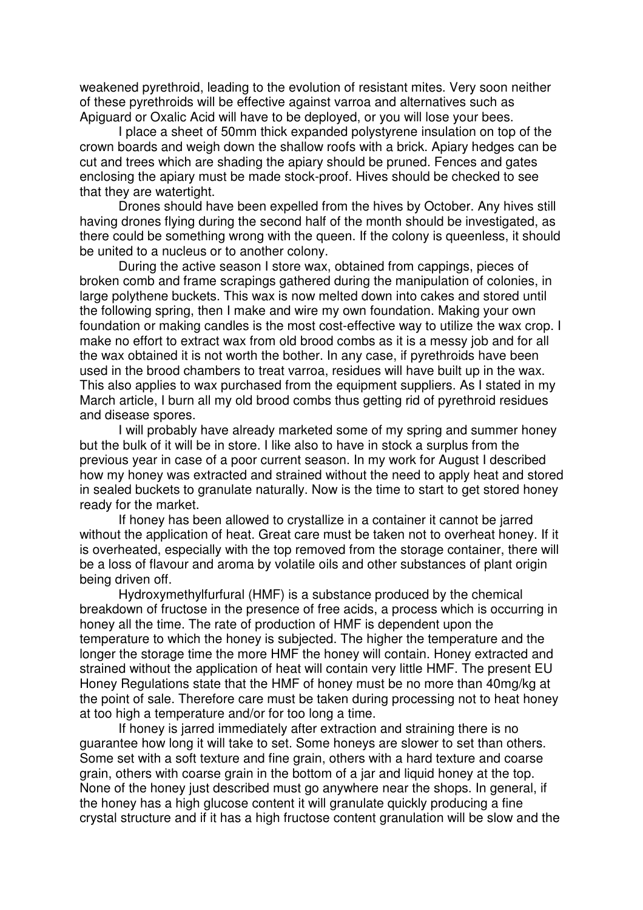weakened pyrethroid, leading to the evolution of resistant mites. Very soon neither of these pyrethroids will be effective against varroa and alternatives such as Apiguard or Oxalic Acid will have to be deployed, or you will lose your bees.

I place a sheet of 50mm thick expanded polystyrene insulation on top of the crown boards and weigh down the shallow roofs with a brick. Apiary hedges can be cut and trees which are shading the apiary should be pruned. Fences and gates enclosing the apiary must be made stock-proof. Hives should be checked to see that they are watertight.

Drones should have been expelled from the hives by October. Any hives still having drones flying during the second half of the month should be investigated, as there could be something wrong with the queen. If the colony is queenless, it should be united to a nucleus or to another colony.

During the active season I store wax, obtained from cappings, pieces of broken comb and frame scrapings gathered during the manipulation of colonies, in large polythene buckets. This wax is now melted down into cakes and stored until the following spring, then I make and wire my own foundation. Making your own foundation or making candles is the most cost-effective way to utilize the wax crop. I make no effort to extract wax from old brood combs as it is a messy job and for all the wax obtained it is not worth the bother. In any case, if pyrethroids have been used in the brood chambers to treat varroa, residues will have built up in the wax. This also applies to wax purchased from the equipment suppliers. As I stated in my March article, I burn all my old brood combs thus getting rid of pyrethroid residues and disease spores.

I will probably have already marketed some of my spring and summer honey but the bulk of it will be in store. I like also to have in stock a surplus from the previous year in case of a poor current season. In my work for August I described how my honey was extracted and strained without the need to apply heat and stored in sealed buckets to granulate naturally. Now is the time to start to get stored honey ready for the market.

If honey has been allowed to crystallize in a container it cannot be jarred without the application of heat. Great care must be taken not to overheat honey. If it is overheated, especially with the top removed from the storage container, there will be a loss of flavour and aroma by volatile oils and other substances of plant origin being driven off.

Hydroxymethylfurfural (HMF) is a substance produced by the chemical breakdown of fructose in the presence of free acids, a process which is occurring in honey all the time. The rate of production of HMF is dependent upon the temperature to which the honey is subjected. The higher the temperature and the longer the storage time the more HMF the honey will contain. Honey extracted and strained without the application of heat will contain very little HMF. The present EU Honey Regulations state that the HMF of honey must be no more than 40mg/kg at the point of sale. Therefore care must be taken during processing not to heat honey at too high a temperature and/or for too long a time.

If honey is jarred immediately after extraction and straining there is no guarantee how long it will take to set. Some honeys are slower to set than others. Some set with a soft texture and fine grain, others with a hard texture and coarse grain, others with coarse grain in the bottom of a jar and liquid honey at the top. None of the honey just described must go anywhere near the shops. In general, if the honey has a high glucose content it will granulate quickly producing a fine crystal structure and if it has a high fructose content granulation will be slow and the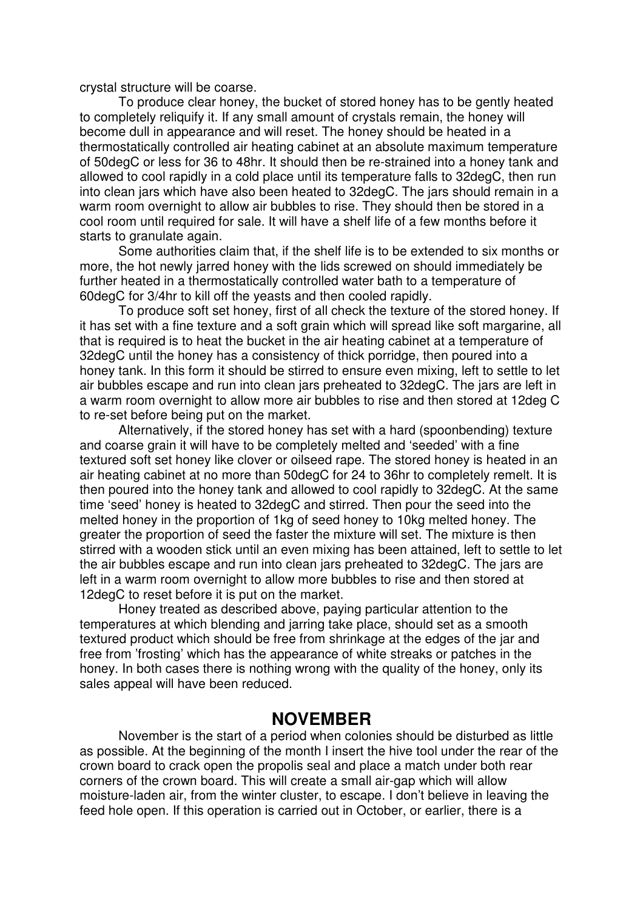crystal structure will be coarse.

To produce clear honey, the bucket of stored honey has to be gently heated to completely reliquify it. If any small amount of crystals remain, the honey will become dull in appearance and will reset. The honey should be heated in a thermostatically controlled air heating cabinet at an absolute maximum temperature of 50degC or less for 36 to 48hr. It should then be re-strained into a honey tank and allowed to cool rapidly in a cold place until its temperature falls to 32degC, then run into clean jars which have also been heated to 32degC. The jars should remain in a warm room overnight to allow air bubbles to rise. They should then be stored in a cool room until required for sale. It will have a shelf life of a few months before it starts to granulate again.

Some authorities claim that, if the shelf life is to be extended to six months or more, the hot newly jarred honey with the lids screwed on should immediately be further heated in a thermostatically controlled water bath to a temperature of 60degC for 3/4hr to kill off the yeasts and then cooled rapidly.

To produce soft set honey, first of all check the texture of the stored honey. If it has set with a fine texture and a soft grain which will spread like soft margarine, all that is required is to heat the bucket in the air heating cabinet at a temperature of 32degC until the honey has a consistency of thick porridge, then poured into a honey tank. In this form it should be stirred to ensure even mixing, left to settle to let air bubbles escape and run into clean jars preheated to 32degC. The jars are left in a warm room overnight to allow more air bubbles to rise and then stored at 12deg C to re-set before being put on the market.

Alternatively, if the stored honey has set with a hard (spoonbending) texture and coarse grain it will have to be completely melted and 'seeded' with a fine textured soft set honey like clover or oilseed rape. The stored honey is heated in an air heating cabinet at no more than 50degC for 24 to 36hr to completely remelt. It is then poured into the honey tank and allowed to cool rapidly to 32degC. At the same time 'seed' honey is heated to 32degC and stirred. Then pour the seed into the melted honey in the proportion of 1kg of seed honey to 10kg melted honey. The greater the proportion of seed the faster the mixture will set. The mixture is then stirred with a wooden stick until an even mixing has been attained, left to settle to let the air bubbles escape and run into clean jars preheated to 32degC. The jars are left in a warm room overnight to allow more bubbles to rise and then stored at 12degC to reset before it is put on the market.

Honey treated as described above, paying particular attention to the temperatures at which blending and jarring take place, should set as a smooth textured product which should be free from shrinkage at the edges of the jar and free from 'frosting' which has the appearance of white streaks or patches in the honey. In both cases there is nothing wrong with the quality of the honey, only its sales appeal will have been reduced.

#### **NOVEMBER**

November is the start of a period when colonies should be disturbed as little as possible. At the beginning of the month I insert the hive tool under the rear of the crown board to crack open the propolis seal and place a match under both rear corners of the crown board. This will create a small air-gap which will allow moisture-laden air, from the winter cluster, to escape. I don't believe in leaving the feed hole open. If this operation is carried out in October, or earlier, there is a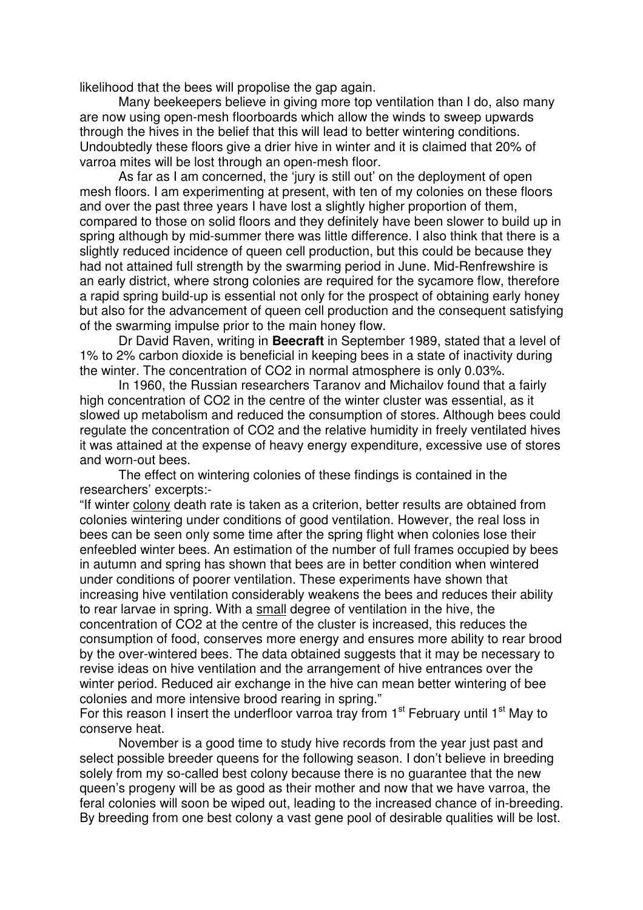likelihood that the bees will propolise the gap again.

Many beekeepers believe in giving more top ventilation than I do, also many are now using open-mesh floorboards which allow the winds to sweep upwards through the hives in the belief that this will lead to better wintering conditions. Undoubtedly these floors give a drier hive in winter and it is claimed that 20% of varroa mites will be lost through an open-mesh floor.

As far as I am concerned, the 'jury is still out' on the deployment of open mesh floors. I am experimenting at present, with ten of my colonies on these floors and over the past three years I have lost a slightly higher proportion of them, compared to those on solid floors and they definitely have been slower to build up in spring although by mid-summer there was little difference. I also think that there is a slightly reduced incidence of queen cell production, but this could be because they had not attained full strength by the swarming period in June. Mid-Renfrewshire is an early district, where strong colonies are required for the sycamore flow, therefore a rapid spring build-up is essential not only for the prospect of obtaining early honey but also for the advancement of queen cell production and the consequent satisfying of the swarming impulse prior to the main honey flow.

Dr David Raven, writing in **Beecraft** in September 1989, stated that a level of 1% to 2% carbon dioxide is beneficial in keeping bees in a state of inactivity during the winter. The concentration of CO2 in normal atmosphere is only 0.03%.

In 1960, the Russian researchers Taranov and Michailov found that a fairly high concentration of CO2 in the centre of the winter cluster was essential, as it slowed up metabolism and reduced the consumption of stores. Although bees could regulate the concentration of CO2 and the relative humidity in freely ventilated hives it was attained at the expense of heavy energy expenditure, excessive use of stores and worn-out bees.

The effect on wintering colonies of these findings is contained in the researchers' excerpts:-

"If winter colony death rate is taken as a criterion, better results are obtained from colonies wintering under conditions of good ventilation. However, the real loss in bees can be seen only some time after the spring flight when colonies lose their enfeebled winter bees. An estimation of the number of full frames occupied by bees in autumn and spring has shown that bees are in better condition when wintered under conditions of poorer ventilation. These experiments have shown that increasing hive ventilation considerably weakens the bees and reduces their ability to rear larvae in spring. With a small degree of ventilation in the hive, the concentration of CO2 at the centre of the cluster is increased, this reduces the consumption of food, conserves more energy and ensures more ability to rear brood by the over-wintered bees. The data obtained suggests that it may be necessary to revise ideas on hive ventilation and the arrangement of hive entrances over the winter period. Reduced air exchange in the hive can mean better wintering of bee colonies and more intensive brood rearing in spring."

For this reason I insert the underfloor varroa tray from 1<sup>st</sup> February until 1<sup>st</sup> May to conserve heat.

November is a good time to study hive records from the year just past and select possible breeder queens for the following season. I don't believe in breeding solely from my so-called best colony because there is no guarantee that the new queen's progeny will be as good as their mother and now that we have varroa, the feral colonies will soon be wiped out, leading to the increased chance of in-breeding. By breeding from one best colony a vast gene pool of desirable qualities will be lost.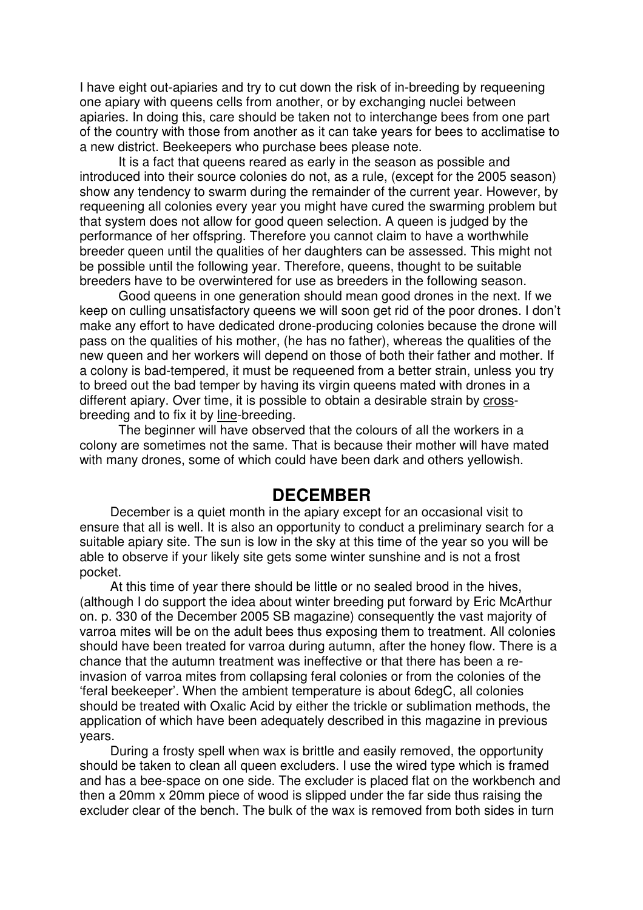I have eight out-apiaries and try to cut down the risk of in-breeding by requeening one apiary with queens cells from another, or by exchanging nuclei between apiaries. In doing this, care should be taken not to interchange bees from one part of the country with those from another as it can take years for bees to acclimatise to a new district. Beekeepers who purchase bees please note.

It is a fact that queens reared as early in the season as possible and introduced into their source colonies do not, as a rule, (except for the 2005 season) show any tendency to swarm during the remainder of the current year. However, by requeening all colonies every year you might have cured the swarming problem but that system does not allow for good queen selection. A queen is judged by the performance of her offspring. Therefore you cannot claim to have a worthwhile breeder queen until the qualities of her daughters can be assessed. This might not be possible until the following year. Therefore, queens, thought to be suitable breeders have to be overwintered for use as breeders in the following season.

Good queens in one generation should mean good drones in the next. If we keep on culling unsatisfactory queens we will soon get rid of the poor drones. I don't make any effort to have dedicated drone-producing colonies because the drone will pass on the qualities of his mother, (he has no father), whereas the qualities of the new queen and her workers will depend on those of both their father and mother. If a colony is bad-tempered, it must be requeened from a better strain, unless you try to breed out the bad temper by having its virgin queens mated with drones in a different apiary. Over time, it is possible to obtain a desirable strain by crossbreeding and to fix it by line-breeding.

The beginner will have observed that the colours of all the workers in a colony are sometimes not the same. That is because their mother will have mated with many drones, some of which could have been dark and others yellowish.

#### **DECEMBER**

December is a quiet month in the apiary except for an occasional visit to ensure that all is well. It is also an opportunity to conduct a preliminary search for a suitable apiary site. The sun is low in the sky at this time of the year so you will be able to observe if your likely site gets some winter sunshine and is not a frost pocket.

At this time of year there should be little or no sealed brood in the hives, (although I do support the idea about winter breeding put forward by Eric McArthur on. p. 330 of the December 2005 SB magazine) consequently the vast majority of varroa mites will be on the adult bees thus exposing them to treatment. All colonies should have been treated for varroa during autumn, after the honey flow. There is a chance that the autumn treatment was ineffective or that there has been a reinvasion of varroa mites from collapsing feral colonies or from the colonies of the 'feral beekeeper'. When the ambient temperature is about 6degC, all colonies should be treated with Oxalic Acid by either the trickle or sublimation methods, the application of which have been adequately described in this magazine in previous years.

During a frosty spell when wax is brittle and easily removed, the opportunity should be taken to clean all queen excluders. I use the wired type which is framed and has a bee-space on one side. The excluder is placed flat on the workbench and then a 20mm x 20mm piece of wood is slipped under the far side thus raising the excluder clear of the bench. The bulk of the wax is removed from both sides in turn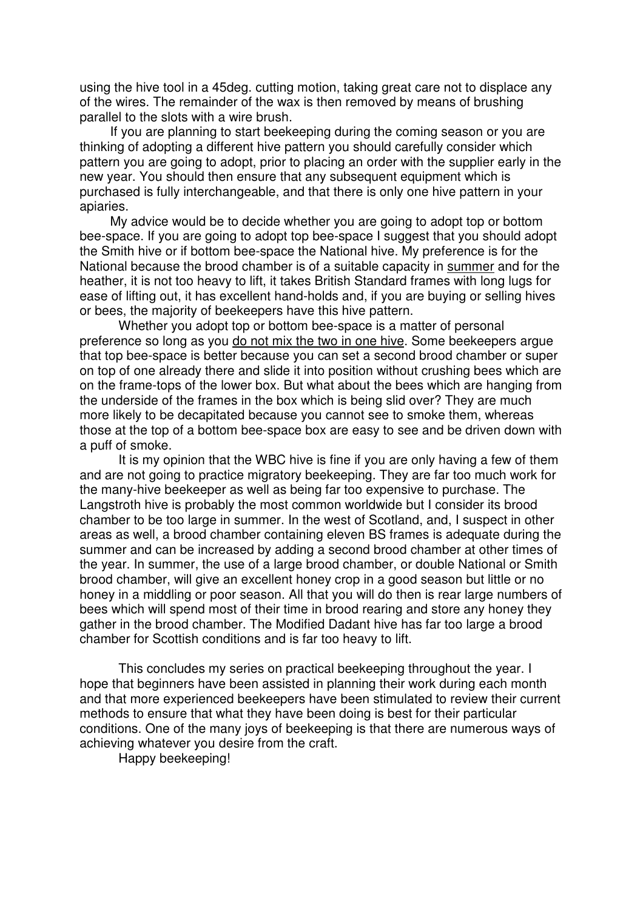using the hive tool in a 45deg. cutting motion, taking great care not to displace any of the wires. The remainder of the wax is then removed by means of brushing parallel to the slots with a wire brush.

If you are planning to start beekeeping during the coming season or you are thinking of adopting a different hive pattern you should carefully consider which pattern you are going to adopt, prior to placing an order with the supplier early in the new year. You should then ensure that any subsequent equipment which is purchased is fully interchangeable, and that there is only one hive pattern in your apiaries.

My advice would be to decide whether you are going to adopt top or bottom bee-space. If you are going to adopt top bee-space I suggest that you should adopt the Smith hive or if bottom bee-space the National hive. My preference is for the National because the brood chamber is of a suitable capacity in summer and for the heather, it is not too heavy to lift, it takes British Standard frames with long lugs for ease of lifting out, it has excellent hand-holds and, if you are buying or selling hives or bees, the majority of beekeepers have this hive pattern.

Whether you adopt top or bottom bee-space is a matter of personal preference so long as you do not mix the two in one hive. Some beekeepers argue that top bee-space is better because you can set a second brood chamber or super on top of one already there and slide it into position without crushing bees which are on the frame-tops of the lower box. But what about the bees which are hanging from the underside of the frames in the box which is being slid over? They are much more likely to be decapitated because you cannot see to smoke them, whereas those at the top of a bottom bee-space box are easy to see and be driven down with a puff of smoke.

It is my opinion that the WBC hive is fine if you are only having a few of them and are not going to practice migratory beekeeping. They are far too much work for the many-hive beekeeper as well as being far too expensive to purchase. The Langstroth hive is probably the most common worldwide but I consider its brood chamber to be too large in summer. In the west of Scotland, and, I suspect in other areas as well, a brood chamber containing eleven BS frames is adequate during the summer and can be increased by adding a second brood chamber at other times of the year. In summer, the use of a large brood chamber, or double National or Smith brood chamber, will give an excellent honey crop in a good season but little or no honey in a middling or poor season. All that you will do then is rear large numbers of bees which will spend most of their time in brood rearing and store any honey they gather in the brood chamber. The Modified Dadant hive has far too large a brood chamber for Scottish conditions and is far too heavy to lift.

This concludes my series on practical beekeeping throughout the year. I hope that beginners have been assisted in planning their work during each month and that more experienced beekeepers have been stimulated to review their current methods to ensure that what they have been doing is best for their particular conditions. One of the many joys of beekeeping is that there are numerous ways of achieving whatever you desire from the craft.

Happy beekeeping!